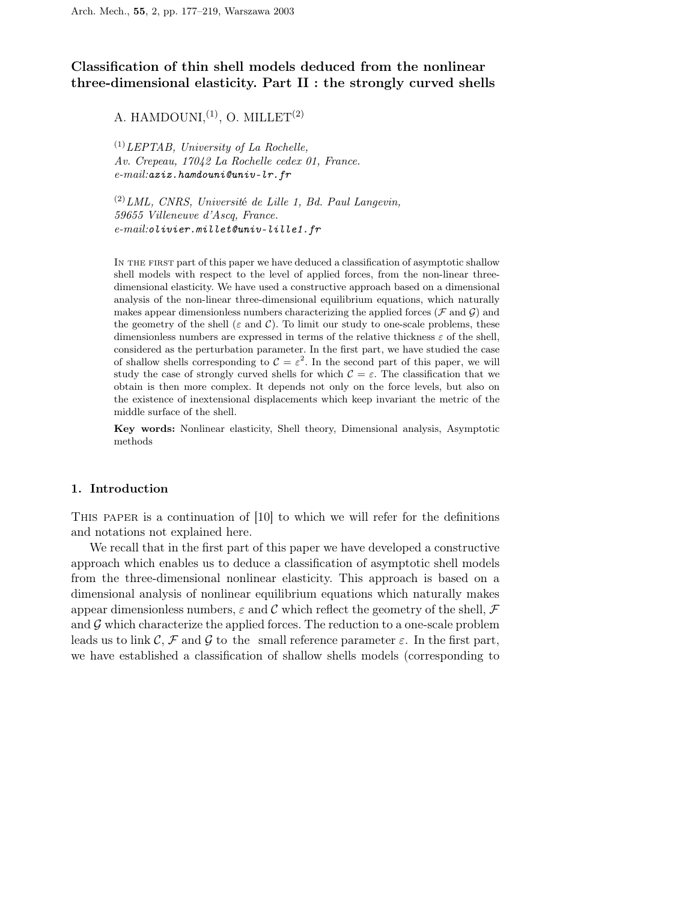# Classification of thin shell models deduced from the nonlinear three-dimensional elasticity. Part II : the strongly curved shells

A. HAMDOUNI, $^{(1)}$ , O. MILLET $^{(2)}$ 

 $^{(1)}LEPTAB$ , University of La Rochelle, Av. Crepeau, 17042 La Rochelle cedex 01, France.  $e-mail:$ aziz.hamdouni@univ-lr.fr

 $^{(2)}$ LML, CNRS, Université de Lille 1, Bd. Paul Langevin, 59655 Villeneuve d'Ascq, France. e-mail:olivier.millet@univ-lille1.fr

IN THE FIRST part of this paper we have deduced a classification of asymptotic shallow shell models with respect to the level of applied forces, from the non-linear threedimensional elasticity. We have used a constructive approach based on a dimensional analysis of the non-linear three-dimensional equilibrium equations, which naturally makes appear dimensionless numbers characterizing the applied forces ( $\mathcal F$  and  $\mathcal G$ ) and the geometry of the shell ( $\varepsilon$  and  $\mathcal{C}$ ). To limit our study to one-scale problems, these dimensionless numbers are expressed in terms of the relative thickness  $\varepsilon$  of the shell, considered as the perturbation parameter. In the first part, we have studied the case of shallow shells corresponding to  $C = \varepsilon^2$ . In the second part of this paper, we will study the case of strongly curved shells for which  $C = \varepsilon$ . The classification that we obtain is then more complex. It depends not only on the force levels, but also on the existence of inextensional displacements which keep invariant the metric of the middle surface of the shell.

Key words: Nonlinear elasticity, Shell theory, Dimensional analysis, Asymptotic methods

# 1. Introduction

This paper is a continuation of [10] to which we will refer for the definitions and notations not explained here.

We recall that in the first part of this paper we have developed a constructive approach which enables us to deduce a classification of asymptotic shell models from the three-dimensional nonlinear elasticity. This approach is based on a dimensional analysis of nonlinear equilibrium equations which naturally makes appear dimensionless numbers,  $\varepsilon$  and C which reflect the geometry of the shell,  $\mathcal F$ and  $\mathcal G$  which characterize the applied forces. The reduction to a one-scale problem leads us to link  $\mathcal{C}, \mathcal{F}$  and  $\mathcal{G}$  to the small reference parameter  $\varepsilon$ . In the first part, we have established a classification of shallow shells models (corresponding to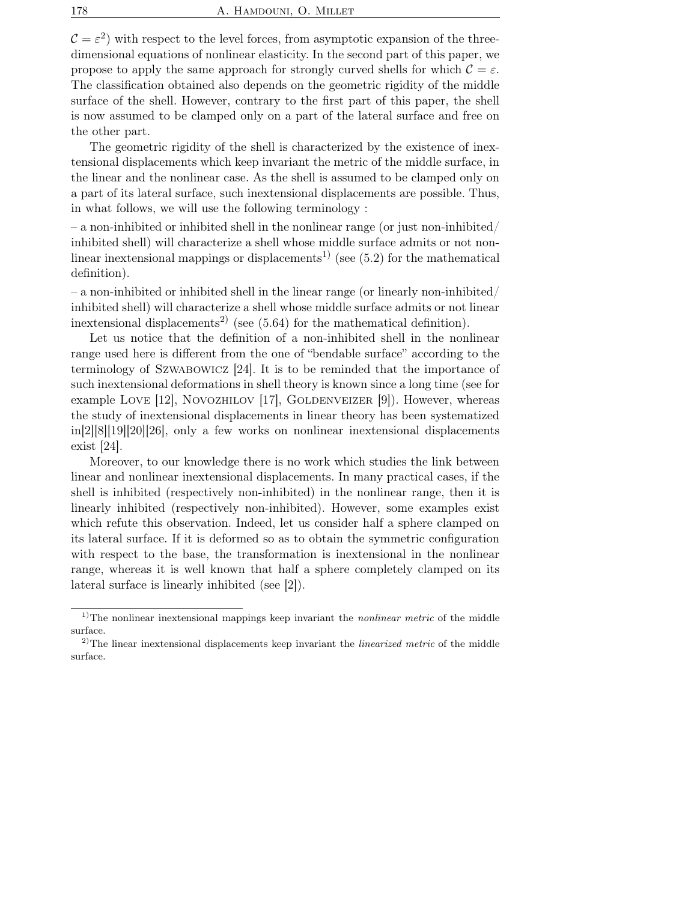$\mathcal{C} = \varepsilon^2$ ) with respect to the level forces, from asymptotic expansion of the threedimensional equations of nonlinear elasticity. In the second part of this paper, we propose to apply the same approach for strongly curved shells for which  $\mathcal{C} = \varepsilon$ . The classification obtained also depends on the geometric rigidity of the middle surface of the shell. However, contrary to the first part of this paper, the shell is now assumed to be clamped only on a part of the lateral surface and free on the other part.

The geometric rigidity of the shell is characterized by the existence of inextensional displacements which keep invariant the metric of the middle surface, in the linear and the nonlinear case. As the shell is assumed to be clamped only on a part of its lateral surface, such inextensional displacements are possible. Thus, in what follows, we will use the following terminology :

 $-$  a non-inhibited or inhibited shell in the nonlinear range (or just non-inhibited) inhibited shell) will characterize a shell whose middle surface admits or not nonlinear inextensional mappings or displacements<sup>1)</sup> (see  $(5.2)$ ) for the mathematical definition).

 $-$  a non-inhibited or inhibited shell in the linear range (or linearly non-inhibited) inhibited shell) will characterize a shell whose middle surface admits or not linear inextensional displacements<sup>2)</sup> (see  $(5.64)$  for the mathematical definition).

Let us notice that the definition of a non-inhibited shell in the nonlinear range used here is different from the one of "bendable surface" according to the terminology of Szwabowicz [24]. It is to be reminded that the importance of such inextensional deformations in shell theory is known since a long time (see for example LOVE  $[12]$ , NOVOZHILOV  $[17]$ , GOLDENVEIZER  $[9]$ ). However, whereas the study of inextensional displacements in linear theory has been systematized in[2][8][19][20][26], only a few works on nonlinear inextensional displacements exist [24].

Moreover, to our knowledge there is no work which studies the link between linear and nonlinear inextensional displacements. In many practical cases, if the shell is inhibited (respectively non-inhibited) in the nonlinear range, then it is linearly inhibited (respectively non-inhibited). However, some examples exist which refute this observation. Indeed, let us consider half a sphere clamped on its lateral surface. If it is deformed so as to obtain the symmetric configuration with respect to the base, the transformation is inextensional in the nonlinear range, whereas it is well known that half a sphere completely clamped on its lateral surface is linearly inhibited (see [2]).

 $1)$ The nonlinear inextensional mappings keep invariant the *nonlinear metric* of the middle surface.

<sup>&</sup>lt;sup>2)</sup>The linear inextensional displacements keep invariant the *linearized metric* of the middle surface.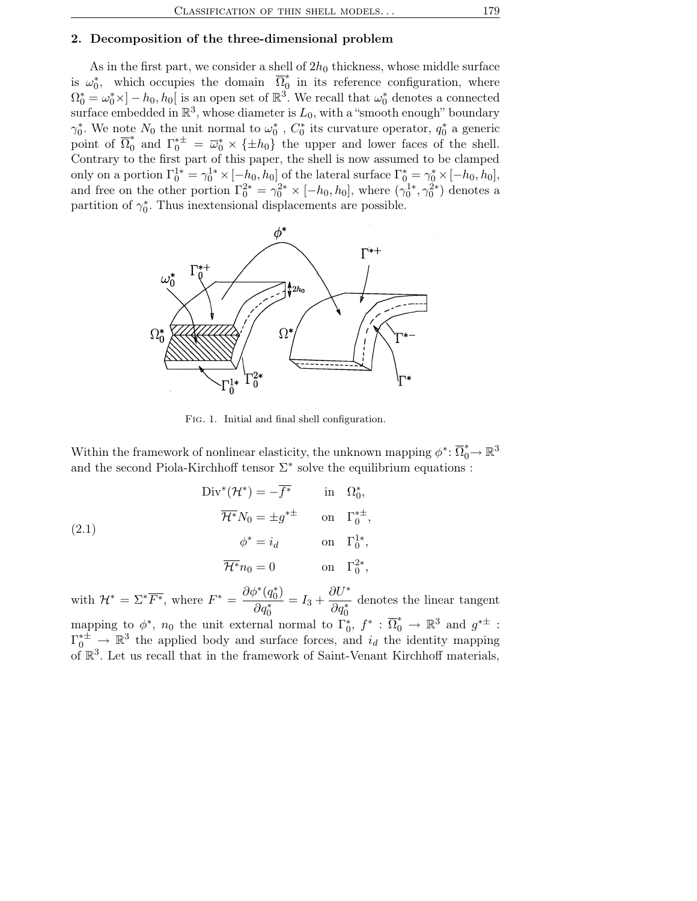### 2. Decomposition of the three-dimensional problem

As in the first part, we consider a shell of  $2h_0$  thickness, whose middle surface is  $\omega_0^*$ , which occupies the domain  $\overline{\Omega}_0^*$  $\hat{0}$  in its reference configuration, where  $\Omega_0^* = \omega_0^* \times ] - h_0, h_0[$  is an open set of  $\mathbb{R}^3$ . We recall that  $\omega_0^*$  denotes a connected surface embedded in  $\mathbb{R}^3$ , whose diameter is  $L_0$ , with a "smooth enough" boundary  $\gamma_0^*$ . We note  $N_0$  the unit normal to  $\omega_0^*$ ,  $C_0^*$  its curvature operator,  $q_0^*$  a generic point of  $\overline{\Omega}_0^*$  and  $\Gamma_0^{*\pm} = \overline{\omega}_0^* \times {\{\pm h_0\}}$  the upper and lower faces of the shell. Contrary to the first part of this paper, the shell is now assumed to be clamped only on a portion  $\Gamma_0^{1*} = \gamma_0^{1*} \times [-h_0, h_0]$  of the lateral surface  $\Gamma_0^* = \gamma_0^* \times [-h_0, h_0]$ , and free on the other portion  $\Gamma_0^{2*} = \gamma_0^{2*} \times [-h_0, h_0]$ , where  $(\gamma_0^{1*}, \gamma_0^{2*})$  denotes a partition of  $\gamma_0^*$ . Thus inextensional displacements are possible.



Fig. 1. Initial and final shell configuration.

Within the framework of nonlinear elasticity, the unknown mapping  $\phi^* \colon \overline{\Omega}^*_0 \to \mathbb{R}^3$ and the second Piola-Kirchhoff tensor  $\Sigma^*$  solve the equilibrium equations :

(2.1)  
\n
$$
\text{Div}^*(\mathcal{H}^*) = -\overline{f^*} \qquad \text{in} \quad \Omega_0^*,
$$
\n
$$
\overline{\mathcal{H}^*} N_0 = \pm g^{*\pm} \qquad \text{on} \quad \Gamma_0^{*\pm},
$$
\n
$$
\phi^* = i_d \qquad \text{on} \quad \Gamma_0^{1*},
$$
\n
$$
\overline{\mathcal{H}^*} n_0 = 0 \qquad \text{on} \quad \Gamma_0^{2*},
$$

with  $\mathcal{H}^* = \Sigma^* \overline{F^*}$ , where  $F^* = \frac{\partial \phi^*(q_0^*)}{\partial x_0^*}$  $\overline{\partial q_0^*}$  $= I_3 + \frac{\partial U^*}{\partial x^*}$  $\overline{\partial q_0^*}$ denotes the linear tangent mapping to  $\phi^*$ ,  $n_0$  the unit external normal to  $\Gamma_0^*$ ,  $f^*$  :  $\overline{\Omega}_0^* \to \mathbb{R}^3$  and  $g^{*\pm}$  :  $\Gamma_0^{*\pm} \rightarrow \mathbb{R}^3$  the applied body and surface forces, and  $i_d$  the identity mapping of R 3 . Let us recall that in the framework of Saint-Venant Kirchhoff materials,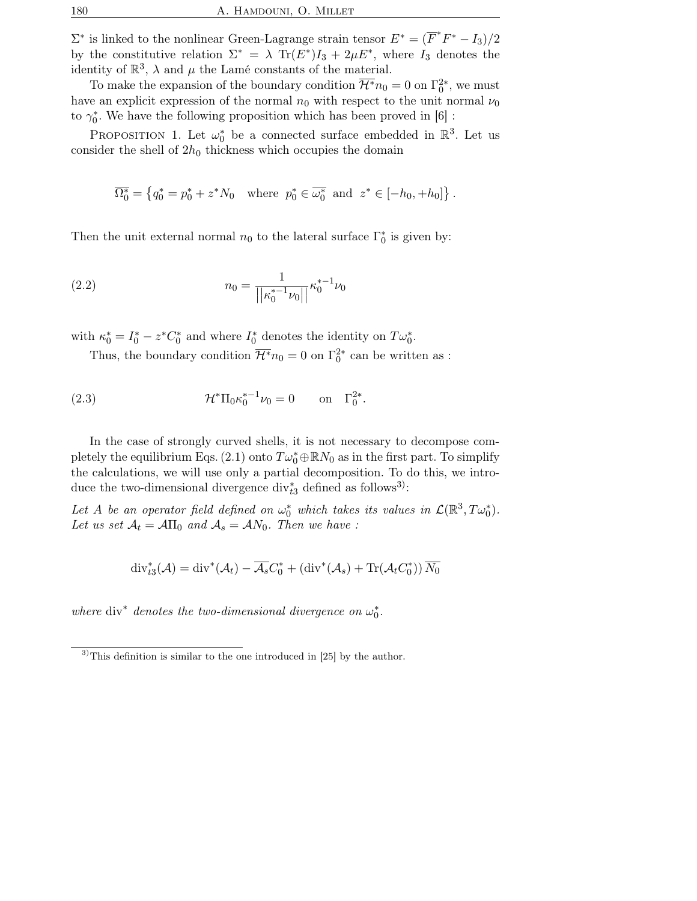$\Sigma^*$  is linked to the nonlinear Green-Lagrange strain tensor  $E^* = (\overline{F}^*F^* - I_3)/2$ by the constitutive relation  $\Sigma^* = \lambda \operatorname{Tr}(E^*)I_3 + 2\mu E^*$ , where  $I_3$  denotes the identity of  $\mathbb{R}^3$ ,  $\lambda$  and  $\mu$  the Lamé constants of the material.

To make the expansion of the boundary condition  $\overline{\mathcal{H}^*}n_0 = 0$  on  $\Gamma_0^{2*}$ , we must have an explicit expression of the normal  $n_0$  with respect to the unit normal  $\nu_0$ to  $\gamma_0^*$ . We have the following proposition which has been proved in [6] :

PROPOSITION 1. Let  $\omega_0^*$  be a connected surface embedded in  $\mathbb{R}^3$ . Let us consider the shell of  $2h_0$  thickness which occupies the domain

$$
\overline{\Omega_0^*} = \left\{ q_0^* = p_0^* + z^* N_0 \quad \text{where } p_0^* \in \overline{\omega_0^*} \text{ and } z^* \in [-h_0, +h_0] \right\}.
$$

Then the unit external normal  $n_0$  to the lateral surface  $\Gamma_0^*$  is given by:

(2.2) 
$$
n_0 = \frac{1}{\left| \left| \kappa_0^{* - 1} \nu_0 \right| \right|} \kappa_0^{* - 1} \nu_0
$$

with  $\kappa_0^* = I_0^* - z^* C_0^*$  and where  $I_0^*$  denotes the identity on  $T\omega_0^*$ .

Thus, the boundary condition  $\overline{\mathcal{H}}^* n_0 = 0$  on  $\Gamma_0^{2*}$  can be written as :

(2.3) 
$$
\mathcal{H}^* \Pi_0 \kappa_0^{*-1} \nu_0 = 0 \quad \text{on} \quad \Gamma_0^{2*}.
$$

In the case of strongly curved shells, it is not necessary to decompose completely the equilibrium Eqs. (2.1) onto  $T\omega_0^* \oplus \mathbb{R}N_0$  as in the first part. To simplify the calculations, we will use only a partial decomposition. To do this, we introduce the two-dimensional divergence  $\text{div}_{t3}^*$  defined as follows<sup>3</sup>):

Let A be an operator field defined on  $\omega_0^*$  which takes its values in  $\mathcal{L}(\mathbb{R}^3, T\omega_0^*)$ . Let us set  $A_t = A\Pi_0$  and  $A_s = AN_0$ . Then we have :

$$
\operatorname{div}_{t3}^*({\mathcal A}) = \operatorname{div}^*({\mathcal A}_t) - \overline{{\mathcal A}_s} C_0^* + (\operatorname{div}^*({\mathcal A}_s) + \operatorname{Tr}({\mathcal A}_t C_0^*)) \, \overline{N_0}
$$

where div<sup>\*</sup> denotes the two-dimensional divergence on  $\omega_0^*$ .

 $3$ This definition is similar to the one introduced in [25] by the author.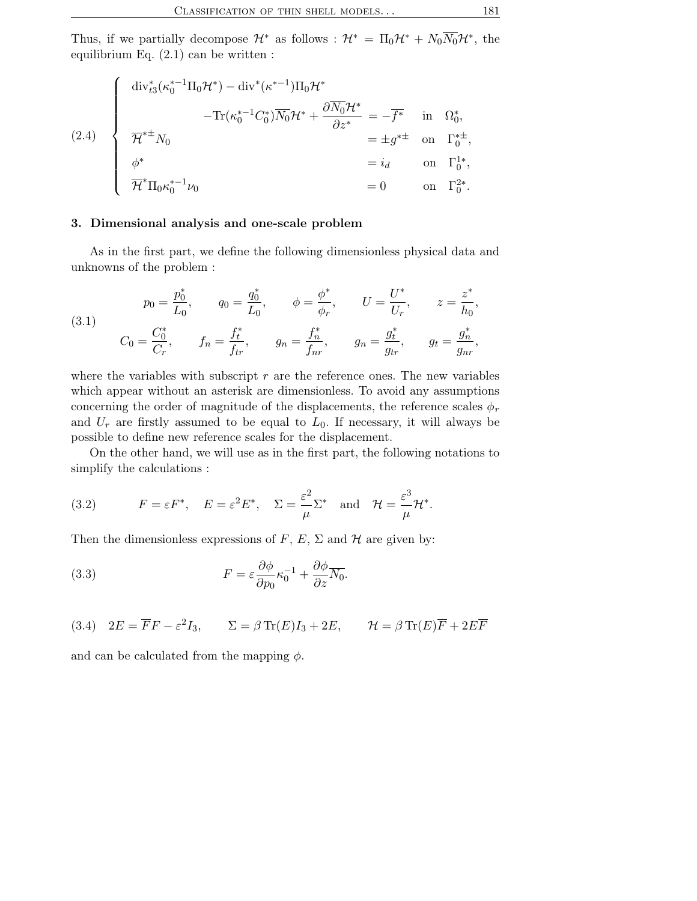Thus, if we partially decompose  $\mathcal{H}^*$  as follows :  $\mathcal{H}^* = \Pi_0 \mathcal{H}^* + N_0 \overline{N_0} \mathcal{H}^*$ , the equilibrium Eq.  $(2.1)$  can be written :

(2.4) 
$$
\begin{cases}\n\text{div}_{t3}^{*}(\kappa_{0}^{*-1}\Pi_{0}\mathcal{H}^{*}) - \text{div}^{*}(\kappa^{*-1})\Pi_{0}\mathcal{H}^{*} \\
-\text{Tr}(\kappa_{0}^{*-1}C_{0}^{*})\overline{N_{0}}\mathcal{H}^{*} + \frac{\partial \overline{N_{0}}\mathcal{H}^{*}}{\partial z^{*}} = -\overline{f}^{*} & \text{in} \quad \Omega_{0}^{*}, \\
\overline{\mathcal{H}}^{*} \mathcal{H}_{0} & = \pm g^{* \pm} & \text{on} \quad \Gamma_{0}^{* \pm}, \\
\phi^{*} & = i_{d} & \text{on} \quad \Gamma_{0}^{1*}, \\
\overline{\mathcal{H}}^{*}\Pi_{0}\kappa_{0}^{*-1}\nu_{0} & = 0 & \text{on} \quad \Gamma_{0}^{2*}.\n\end{cases}
$$

#### 3. Dimensional analysis and one-scale problem

As in the first part, we define the following dimensionless physical data and unknowns of the problem :

(3.1) 
$$
p_0 = \frac{p_0^*}{L_0}, \qquad q_0 = \frac{q_0^*}{L_0}, \qquad \phi = \frac{\phi^*}{\phi_r}, \qquad U = \frac{U^*}{U_r}, \qquad z = \frac{z^*}{h_0},
$$

$$
C_0 = \frac{C_0^*}{C_r}, \qquad f_n = \frac{f_t^*}{f_{tr}}, \qquad g_n = \frac{f_n^*}{f_{nr}}, \qquad g_n = \frac{g_t^*}{g_{tr}}, \qquad g_t = \frac{g_n^*}{g_{nr}},
$$

where the variables with subscript  $r$  are the reference ones. The new variables which appear without an asterisk are dimensionless. To avoid any assumptions concerning the order of magnitude of the displacements, the reference scales  $\phi_r$ and  $U_r$  are firstly assumed to be equal to  $L_0$ . If necessary, it will always be possible to define new reference scales for the displacement.

On the other hand, we will use as in the first part, the following notations to simplify the calculations :

(3.2) 
$$
F = \varepsilon F^*
$$
,  $E = \varepsilon^2 E^*$ ,  $\Sigma = \frac{\varepsilon^2}{\mu} \Sigma^*$  and  $\mathcal{H} = \frac{\varepsilon^3}{\mu} \mathcal{H}^*$ .

Then the dimensionless expressions of F, E,  $\Sigma$  and H are given by:

(3.3) 
$$
F = \varepsilon \frac{\partial \phi}{\partial p_0} \kappa_0^{-1} + \frac{\partial \phi}{\partial z} \overline{N_0}.
$$

(3.4) 
$$
2E = \overline{F}F - \varepsilon^2 I_3
$$
,  $\Sigma = \beta \text{Tr}(E)I_3 + 2E$ ,  $\mathcal{H} = \beta \text{Tr}(E)\overline{F} + 2E\overline{F}$ 

and can be calculated from the mapping  $\phi$ .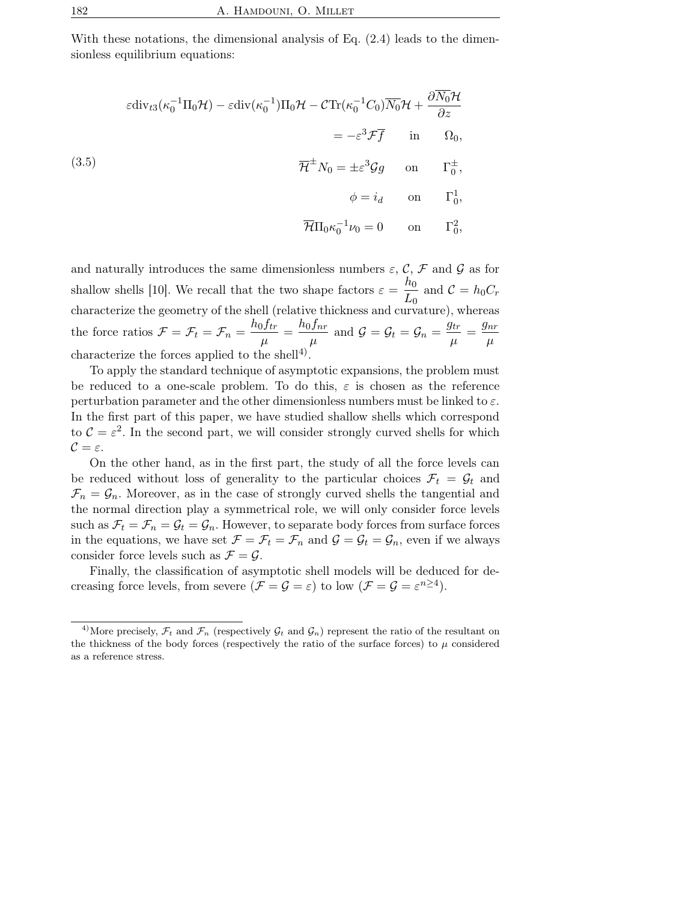With these notations, the dimensional analysis of Eq.  $(2.4)$  leads to the dimensionless equilibrium equations:

$$
\varepsilon \text{div}_{t3}(\kappa_0^{-1} \Pi_0 \mathcal{H}) - \varepsilon \text{div}(\kappa_0^{-1}) \Pi_0 \mathcal{H} - \mathcal{C} \text{Tr}(\kappa_0^{-1} C_0) \overline{N_0} \mathcal{H} + \frac{\partial N_0 \mathcal{H}}{\partial z}
$$

$$
= -\varepsilon^3 \mathcal{F} \overline{f} \quad \text{in} \quad \Omega_0,
$$

$$
\overline{\mathcal{H}}^{\pm} N_0 = \pm \varepsilon^3 \mathcal{G}g \quad \text{on} \quad \Gamma_0^{\pm},
$$

$$
\phi = i_d \quad \text{on} \quad \Gamma_0^1,
$$

$$
\overline{\mathcal{H}} \Pi_0 \kappa_0^{-1} \nu_0 = 0 \quad \text{on} \quad \Gamma_0^2,
$$

and naturally introduces the same dimensionless numbers  $\varepsilon$ , C, F and G as for shallow shells [10]. We recall that the two shape factors  $\varepsilon = \frac{h_0}{L}$  $\frac{L_0}{L_0}$  and  $C = h_0 C_r$ characterize the geometry of the shell (relative thickness and curvature), whereas the force ratios  $\mathcal{F} = \mathcal{F}_t = \mathcal{F}_n = \frac{h_0 f_{tr}}{h}$  $\frac{df_{tr}}{\mu} = \frac{h_0f_{nr}}{\mu}$  $\frac{f_{nr}}{\mu}$  and  $\mathcal{G} = \mathcal{G}_t = \mathcal{G}_n = \frac{g_{tr}}{\mu}$  $\frac{g_{tr}}{\mu} = \frac{g_{nr}}{\mu}$  $\mu$ characterize the forces applied to the shell<sup>4)</sup>.

To apply the standard technique of asymptotic expansions, the problem must be reduced to a one-scale problem. To do this,  $\varepsilon$  is chosen as the reference perturbation parameter and the other dimensionless numbers must be linked to  $\varepsilon$ . In the first part of this paper, we have studied shallow shells which correspond to  $C = \varepsilon^2$ . In the second part, we will consider strongly curved shells for which  $\mathcal{C} = \varepsilon$ .

On the other hand, as in the first part, the study of all the force levels can be reduced without loss of generality to the particular choices  $\mathcal{F}_t = \mathcal{G}_t$  and  $\mathcal{F}_n = \mathcal{G}_n$ . Moreover, as in the case of strongly curved shells the tangential and the normal direction play a symmetrical role, we will only consider force levels such as  $\mathcal{F}_t = \mathcal{F}_n = \mathcal{G}_t = \mathcal{G}_n$ . However, to separate body forces from surface forces in the equations, we have set  $\mathcal{F} = \mathcal{F}_t = \mathcal{F}_n$  and  $\mathcal{G} = \mathcal{G}_t = \mathcal{G}_n$ , even if we always consider force levels such as  $\mathcal{F} = \mathcal{G}$ .

Finally, the classification of asymptotic shell models will be deduced for decreasing force levels, from severe  $(\mathcal{F} = \mathcal{G} = \varepsilon)$  to low  $(\mathcal{F} = \mathcal{G} = \varepsilon^{n \ge 4})$ .

<sup>&</sup>lt;sup>4)</sup>More precisely,  $\mathcal{F}_t$  and  $\mathcal{F}_n$  (respectively  $\mathcal{G}_t$  and  $\mathcal{G}_n$ ) represent the ratio of the resultant on the thickness of the body forces (respectively the ratio of the surface forces) to  $\mu$  considered as a reference stress.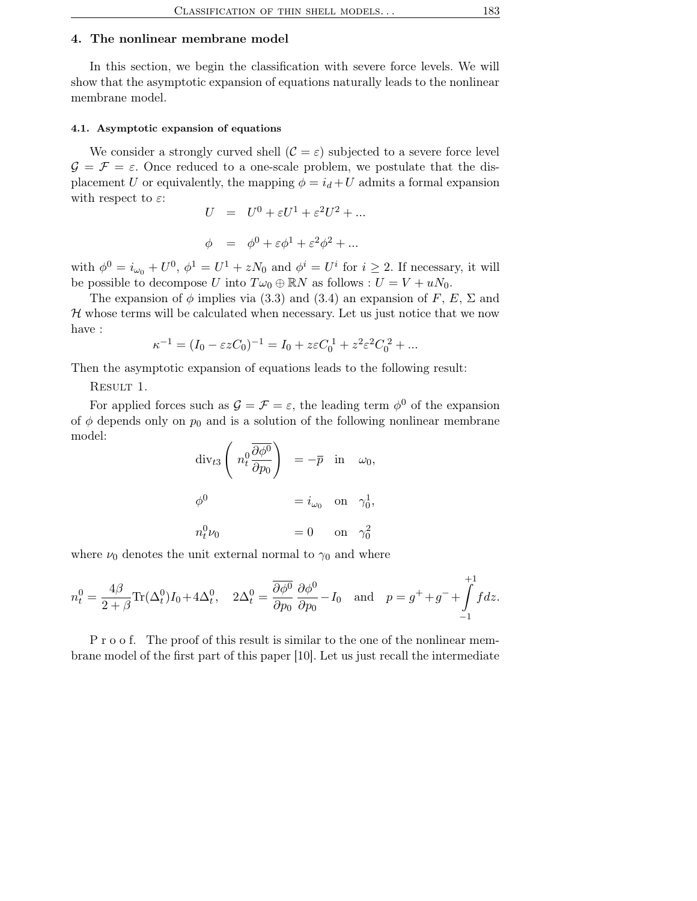### 4. The nonlinear membrane model

In this section, we begin the classification with severe force levels. We will show that the asymptotic expansion of equations naturally leads to the nonlinear membrane model.

#### 4.1. Asymptotic expansion of equations

We consider a strongly curved shell  $(C = \varepsilon)$  subjected to a severe force level  $\mathcal{G} = \mathcal{F} = \varepsilon$ . Once reduced to a one-scale problem, we postulate that the displacement U or equivalently, the mapping  $\phi = i_d + U$  admits a formal expansion with respect to  $\varepsilon$ :

$$
U = U^0 + \varepsilon U^1 + \varepsilon^2 U^2 + \dots
$$

$$
\phi = \phi^0 + \varepsilon \phi^1 + \varepsilon^2 \phi^2 + \dots
$$

with  $\phi^0 = i_{\omega_0} + U^0$ ,  $\phi^1 = U^1 + zN_0$  and  $\phi^i = U^i$  for  $i \geq 2$ . If necessary, it will be possible to decompose U into  $T\omega_0 \oplus \mathbb{R}N$  as follows :  $U = V + uN_0$ .

The expansion of  $\phi$  implies via (3.3) and (3.4) an expansion of F, E,  $\Sigma$  and  $H$  whose terms will be calculated when necessary. Let us just notice that we now have :

$$
\kappa^{-1} = (I_0 - \varepsilon z C_0)^{-1} = I_0 + z \varepsilon C_0^1 + z^2 \varepsilon^2 C_0^2 + \dots
$$

Then the asymptotic expansion of equations leads to the following result:

RESULT 1.

For applied forces such as  $\mathcal{G} = \mathcal{F} = \varepsilon$ , the leading term  $\phi^0$  of the expansion of  $\phi$  depends only on  $p_0$  and is a solution of the following nonlinear membrane model:

$$
\begin{aligned}\n\operatorname{div}_{t3} \left( n_t^0 \frac{\overline{\partial} \phi^0}{\partial p_0} \right) &= -\overline{p} \quad \text{in} \quad \omega_0, \\
\phi^0 &= i_{\omega_0} \quad \text{on} \quad \gamma_0^1, \\
n_t^0 \nu_0 &= 0 \quad \text{on} \quad \gamma_0^2\n\end{aligned}
$$

where  $\nu_0$  denotes the unit external normal to  $\gamma_0$  and where

$$
n_t^0 = \frac{4\beta}{2+\beta} \text{Tr}(\Delta_t^0) I_0 + 4\Delta_t^0, \quad 2\Delta_t^0 = \frac{\overline{\partial \phi^0}}{\partial p_0} \frac{\partial \phi^0}{\partial p_0} - I_0 \quad \text{and} \quad p = g^+ + g^- + \int_{-1}^{+1} f dz.
$$

P r o o f. The proof of this result is similar to the one of the nonlinear membrane model of the first part of this paper [10]. Let us just recall the intermediate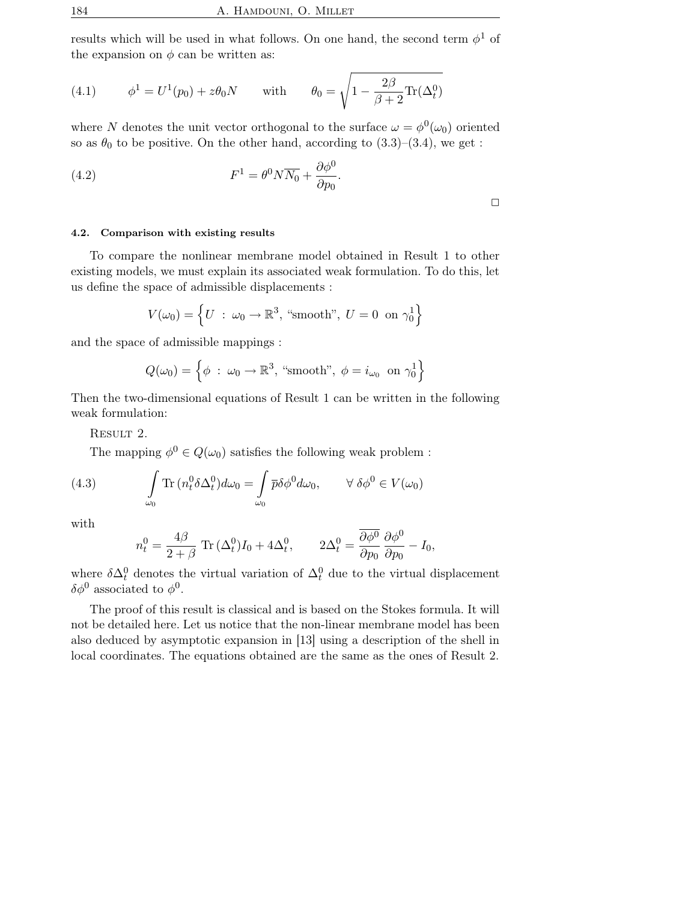results which will be used in what follows. On one hand, the second term  $\phi^1$  of the expansion on  $\phi$  can be written as:

(4.1) 
$$
\phi^1 = U^1(p_0) + z\theta_0 N \quad \text{with} \quad \theta_0 = \sqrt{1 - \frac{2\beta}{\beta + 2} \text{Tr}(\Delta_t^0)}
$$

where N denotes the unit vector orthogonal to the surface  $\omega = \phi^0(\omega_0)$  oriented so as  $\theta_0$  to be positive. On the other hand, according to  $(3.3)$ – $(3.4)$ , we get :

(4.2) 
$$
F^1 = \theta^0 N \overline{N_0} + \frac{\partial \phi^0}{\partial p_0}.
$$

 $\Box$ 

#### 4.2. Comparison with existing results

To compare the nonlinear membrane model obtained in Result 1 to other existing models, we must explain its associated weak formulation. To do this, let us define the space of admissible displacements :

$$
V(\omega_0) = \left\{ U : \omega_0 \to \mathbb{R}^3, \text{ "smooth", } U = 0 \text{ on } \gamma_0^1 \right\}
$$

and the space of admissible mappings :

$$
Q(\omega_0) = \left\{ \phi \; : \; \omega_0 \to \mathbb{R}^3, \; \text{``smooth''}, \; \phi = i_{\omega_0} \; \text{ on } \gamma_0^1 \right\}
$$

Then the two-dimensional equations of Result 1 can be written in the following weak formulation:

RESULT 2.

The mapping  $\phi^0 \in Q(\omega_0)$  satisfies the following weak problem :

(4.3) 
$$
\int_{\omega_0} \text{Tr} \left( n_t^0 \delta \Delta_t^0 \right) d\omega_0 = \int_{\omega_0} \overline{p} \delta \phi^0 d\omega_0, \qquad \forall \delta \phi^0 \in V(\omega_0)
$$

with

$$
n_t^0 = \frac{4\beta}{2+\beta} \operatorname{Tr} (\Delta_t^0) I_0 + 4\Delta_t^0, \qquad 2\Delta_t^0 = \frac{\overline{\partial \phi^0}}{\partial p_0} \frac{\partial \phi^0}{\partial p_0} - I_0,
$$

where  $\delta \Delta_t^0$  denotes the virtual variation of  $\Delta_t^0$  due to the virtual displacement  $\delta\phi^0$  associated to  $\phi^0$ .

The proof of this result is classical and is based on the Stokes formula. It will not be detailed here. Let us notice that the non-linear membrane model has been also deduced by asymptotic expansion in [13] using a description of the shell in local coordinates. The equations obtained are the same as the ones of Result 2.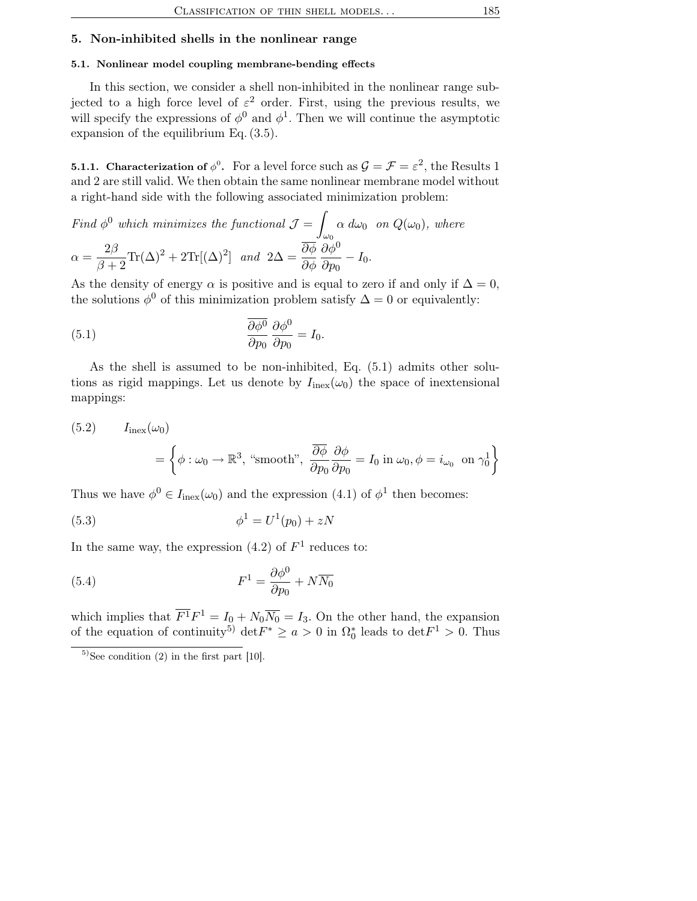## 5. Non-inhibited shells in the nonlinear range

# 5.1. Nonlinear model coupling membrane-bending effects

In this section, we consider a shell non-inhibited in the nonlinear range subjected to a high force level of  $\varepsilon^2$  order. First, using the previous results, we will specify the expressions of  $\phi^0$  and  $\phi^1$ . Then we will continue the asymptotic expansion of the equilibrium Eq.(3.5).

**5.1.1.** Characterization of  $\phi^0$ . For a level force such as  $\mathcal{G} = \mathcal{F} = \varepsilon^2$ , the Results 1 and 2 are still valid. We then obtain the same nonlinear membrane model without a right-hand side with the following associated minimization problem:

Find  $\phi^0$  which minimizes the functional  $\mathcal{J} = \int$  $\omega_0$  $\alpha$  d $\omega_0$  on  $Q(\omega_0)$ , where  $\alpha = \frac{2\beta}{\beta}$  $\frac{2\beta}{\beta+2}\text{Tr}(\Delta)^2 + 2\text{Tr}[(\Delta)^2]$  and  $2\Delta = \frac{\partial \phi}{\partial \phi}$  $\partial \phi$  $\partial\phi^0$  $rac{\partial \varphi}{\partial p_0} - I_0.$ 

As the density of energy  $\alpha$  is positive and is equal to zero if and only if  $\Delta = 0$ , the solutions  $\phi^0$  of this minimization problem satisfy  $\Delta = 0$  or equivalently:

(5.1) 
$$
\frac{\partial \phi^0}{\partial p_0} \frac{\partial \phi^0}{\partial p_0} = I_0.
$$

As the shell is assumed to be non-inhibited, Eq. (5.1) admits other solutions as rigid mappings. Let us denote by  $I_{\text{inex}}(\omega_0)$  the space of inextensional mappings:

(5.2) 
$$
I_{\text{inex}}(\omega_0)
$$
  
=  $\left\{ \phi : \omega_0 \to \mathbb{R}^3, \text{ "smooth", } \frac{\partial \phi}{\partial p_0} \frac{\partial \phi}{\partial p_0} = I_0 \text{ in } \omega_0, \phi = i_{\omega_0} \text{ on } \gamma_0^1 \right\}$ 

Thus we have  $\phi^0 \in I_{\text{inex}}(\omega_0)$  and the expression (4.1) of  $\phi^1$  then becomes:

(5.3) 
$$
\phi^1 = U^1(p_0) + zN
$$

In the same way, the expression  $(4.2)$  of  $F<sup>1</sup>$  reduces to:

(5.4) 
$$
F^{1} = \frac{\partial \phi^{0}}{\partial p_{0}} + N \overline{N_{0}}
$$

which implies that  $\overline{F^1}F^1 = I_0 + N_0\overline{N_0} = I_3$ . On the other hand, the expansion of the equation of continuity<sup>5</sup>  $\det F^* \ge a > 0$  in  $\Omega_0^*$  leads to  $\det F^1 > 0$ . Thus

 $^{5}$ See condition (2) in the first part [10].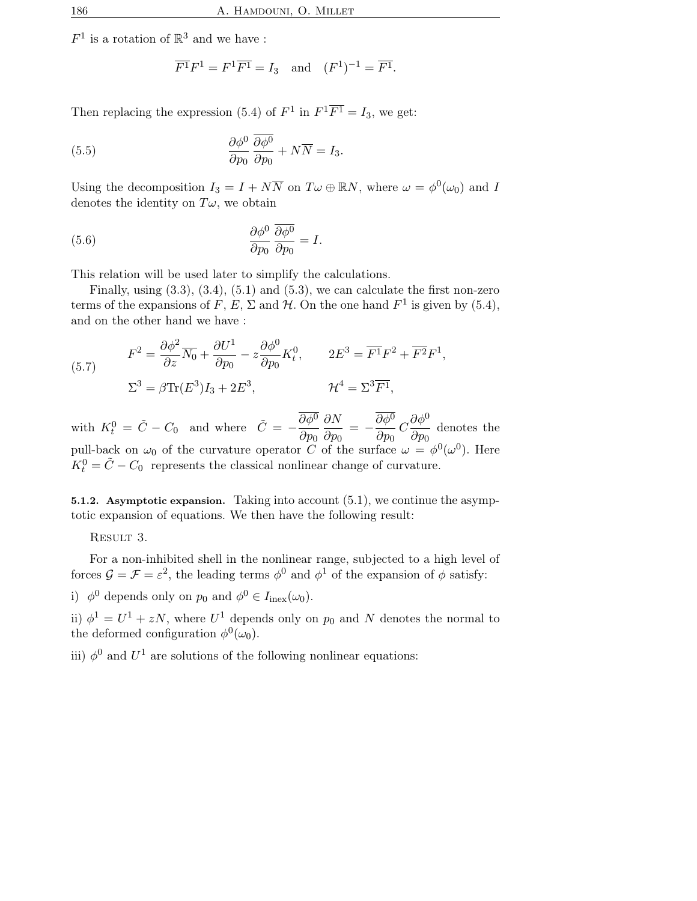$F^1$  is a rotation of  $\mathbb{R}^3$  and we have :

$$
\overline{F^1}F^1 = F^1\overline{F^1} = I_3 \quad \text{and} \quad (F^1)^{-1} = \overline{F^1}.
$$

Then replacing the expression (5.4) of  $F^1$  in  $F^1\overline{F^1} = I_3$ , we get:

(5.5) 
$$
\frac{\partial \phi^0}{\partial p_0} \frac{\overline{\partial \phi^0}}{\partial p_0} + N \overline{N} = I_3.
$$

Using the decomposition  $I_3 = I + N\overline{N}$  on  $T\omega \oplus \mathbb{R}N$ , where  $\omega = \phi^0(\omega_0)$  and I denotes the identity on  $T\omega$ , we obtain

(5.6) 
$$
\frac{\partial \phi^0}{\partial p_0} \frac{\overline{\partial \phi^0}}{\partial p_0} = I.
$$

This relation will be used later to simplify the calculations.

Finally, using  $(3.3)$ ,  $(3.4)$ ,  $(5.1)$  and  $(5.3)$ , we can calculate the first non-zero terms of the expansions of F, E,  $\Sigma$  and H. On the one hand  $F^1$  is given by (5.4), and on the other hand we have :

,

(5.7) 
$$
F^2 = \frac{\partial \phi^2}{\partial z} \overline{N_0} + \frac{\partial U^1}{\partial p_0} - z \frac{\partial \phi^0}{\partial p_0} K_t^0, \qquad 2E^3 = \overline{F^1} F^2 + \overline{F^2} F^1
$$

$$
\Sigma^3 = \beta \text{Tr}(E^3) I_3 + 2E^3, \qquad \mathcal{H}^4 = \Sigma^3 \overline{F^1},
$$

with  $K_t^0 = \tilde{C} - C_0$  and where  $\tilde{C} = -\frac{\partial \phi^0}{\partial x_0}$  $\partial p_0$  $\partial N$  $\frac{\partial N}{\partial p_0}\,=\,-\frac{\partial\phi^0}{\partial p_0}$  $\overline{\frac{\partial \phi^0}{\partial p_0}} \, C \frac{\partial \phi^0}{\partial p_0}$  $rac{\sigma}{\partial p_0}$  denotes the pull-back on  $\omega_0$  of the curvature operator C of the surface  $\omega = \phi^0(\omega^0)$ . Here  $K_t^0 = \tilde{C} - C_0$  represents the classical nonlinear change of curvature.

5.1.2. Asymptotic expansion. Taking into account (5.1), we continue the asymptotic expansion of equations. We then have the following result:

RESULT 3.

For a non-inhibited shell in the nonlinear range, subjected to a high level of forces  $\mathcal{G} = \mathcal{F} = \varepsilon^2$ , the leading terms  $\phi^0$  and  $\phi^1$  of the expansion of  $\phi$  satisfy:

i)  $\phi^0$  depends only on  $p_0$  and  $\phi^0 \in I_{\text{inex}}(\omega_0)$ .

ii)  $\phi^1 = U^1 + zN$ , where  $U^1$  depends only on  $p_0$  and N denotes the normal to the deformed configuration  $\phi^0(\omega_0)$ .

iii)  $\phi^0$  and  $U^1$  are solutions of the following nonlinear equations: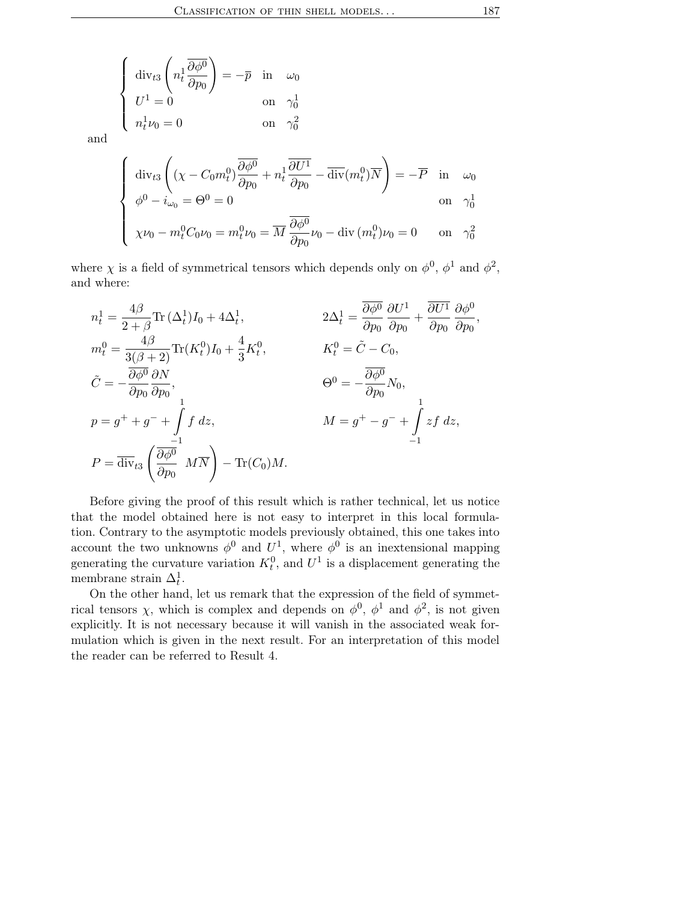$$
\begin{cases} \operatorname{div}_{t3} \left( n_t^1 \frac{\partial \phi^0}{\partial p_0} \right) = -\overline{p} & \text{in } \omega_0 \\ U^1 = 0 & \text{on } \gamma_0^1 \\ n_t^1 \nu_0 = 0 & \text{on } \gamma_0^2 \end{cases}
$$

and

$$
\begin{cases}\n\operatorname{div}_{t3}\left((\chi - C_0 m_t^0) \frac{\overline{\partial \phi^0}}{\partial p_0} + n_t^1 \frac{\overline{\partial U^1}}{\partial p_0} - \overline{\operatorname{div}}(m_t^0) \overline{N}\right) = -\overline{P} & \text{in} \quad \omega_0 \\
\phi^0 - i_{\omega_0} = \Theta^0 = 0 & \text{on} \quad \gamma_0^1 \\
\chi \nu_0 - m_t^0 C_0 \nu_0 = m_t^0 \nu_0 = \overline{M} \frac{\overline{\partial \phi^0}}{\partial p_0} \nu_0 - \operatorname{div}(m_t^0) \nu_0 = 0 & \text{on} \quad \gamma_0^2\n\end{cases}
$$

where  $\chi$  is a field of symmetrical tensors which depends only on  $\phi^0$ ,  $\phi^1$  and  $\phi^2$ , and where:

$$
n_t^1 = \frac{4\beta}{2+\beta} \text{Tr} \left(\Delta_t^1\right) I_0 + 4\Delta_t^1, \qquad 2\Delta_t^1 = \frac{\overline{\partial}\phi^0}{\partial p_0} \frac{\partial U^1}{\partial p_0} + \frac{\overline{\partial}U^1}{\partial p_0} \frac{\partial \phi^0}{\partial p_0}
$$
  
\n
$$
m_t^0 = \frac{4\beta}{3(\beta+2)} \text{Tr}(K_t^0) I_0 + \frac{4}{3} K_t^0, \qquad K_t^0 = \tilde{C} - C_0,
$$
  
\n
$$
\tilde{C} = -\frac{\overline{\partial}\phi^0}{\partial p_0} \frac{\partial N}{\partial p_0}, \qquad \Theta^0 = -\frac{\overline{\partial}\phi^0}{\partial p_0} N_0,
$$
  
\n
$$
p = g^+ + g^- + \int_0^1 f \, dz, \qquad M = g^+ - g^- + \int_0^1 z f \, dz,
$$
  
\n
$$
P = \overline{\text{div}}_{t3} \left( \frac{\overline{\partial}\phi^0}{\partial p_0} M \overline{N} \right) - \text{Tr}(C_0) M.
$$

Before giving the proof of this result which is rather technical, let us notice that the model obtained here is not easy to interpret in this local formulation. Contrary to the asymptotic models previously obtained, this one takes into account the two unknowns  $\phi^0$  and  $U^1$ , where  $\phi^0$  is an inextensional mapping generating the curvature variation  $K_t^0$ , and  $U^1$  is a displacement generating the membrane strain  $\Delta_t^1$ .

On the other hand, let us remark that the expression of the field of symmetrical tensors  $\chi$ , which is complex and depends on  $\phi^0$ ,  $\phi^1$  and  $\phi^2$ , is not given explicitly. It is not necessary because it will vanish in the associated weak formulation which is given in the next result. For an interpretation of this model the reader can be referred to Result 4.

,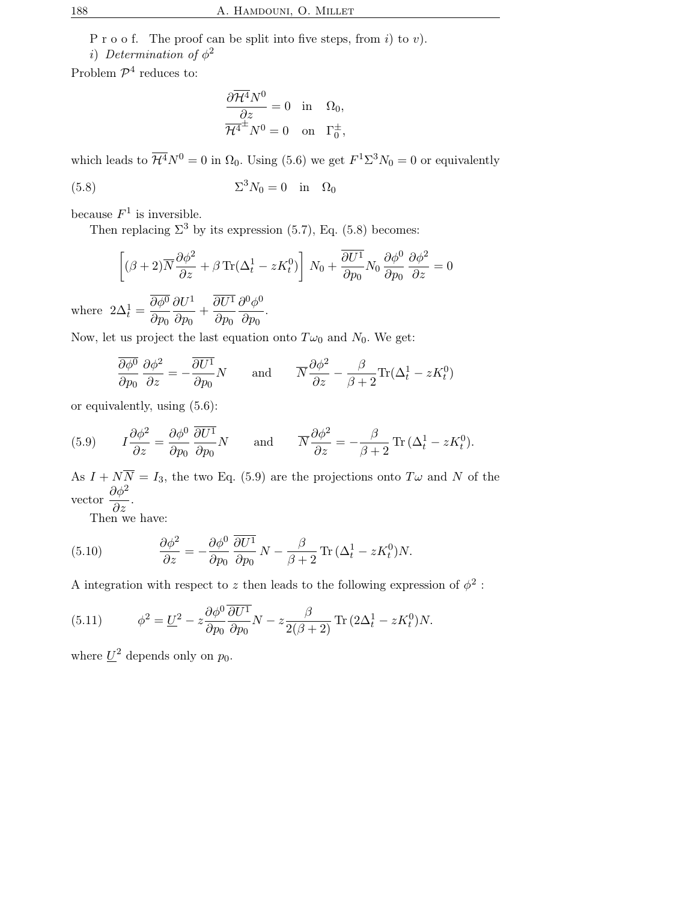P r o o f. The proof can be split into five steps, from i) to v).

*i*) Determination of  $\phi^2$ 

Problem  $\mathcal{P}^4$  reduces to:

$$
\frac{\partial \overline{\mathcal{H}^4} N^0}{\partial z} = 0 \text{ in } \Omega_0,
$$
  

$$
\overline{\mathcal{H}^{4\pm}} N^0 = 0 \text{ on } \Gamma_0^{\pm},
$$

which leads to  $\overline{\mathcal{H}^4N^0} = 0$  in  $\Omega_0$ . Using (5.6) we get  $F^1\Sigma^3N_0 = 0$  or equivalently

(5.8) 
$$
\Sigma^3 N_0 = 0 \quad \text{in} \quad \Omega_0
$$

because  $F^1$  is inversible.

Then replacing  $\Sigma^3$  by its expression (5.7), Eq. (5.8) becomes:

$$
\[ (\beta + 2) \overline{N} \frac{\partial \phi^2}{\partial z} + \beta \operatorname{Tr}(\Delta_t^1 - zK_t^0) \] N_0 + \frac{\overline{\partial U^1}}{\partial p_0} N_0 \frac{\partial \phi^0}{\partial p_0} \frac{\partial \phi^2}{\partial z} = 0
$$

where  $2\Delta_t^1 =$  $\partial\phi^0$  $\partial p_0$  $\partial U^1$  $\frac{\partial U^1}{\partial p_0} + \frac{\partial U^1}{\partial p_0}$  $\partial p_0$  $\partial^0\phi^0$  $\frac{\varphi}{\partial p_0}$ .

Now, let us project the last equation onto  $T\omega_0$  and  $N_0$ . We get:

$$
\frac{\overline{\partial \phi^0}}{\partial p_0} \frac{\partial \phi^2}{\partial z} = -\frac{\overline{\partial U^1}}{\partial p_0} N \quad \text{and} \quad \overline{N} \frac{\partial \phi^2}{\partial z} - \frac{\beta}{\beta + 2} \text{Tr}(\Delta_t^1 - zK_t^0)
$$

or equivalently, using (5.6):

(5.9) 
$$
I\frac{\partial \phi^2}{\partial z} = \frac{\partial \phi^0}{\partial p_0} \frac{\partial U^1}{\partial p_0} N \quad \text{and} \quad \overline{N}\frac{\partial \phi^2}{\partial z} = -\frac{\beta}{\beta + 2} \operatorname{Tr} (\Delta_t^1 - zK_t^0).
$$

As  $I + N\overline{N} = I_3$ , the two Eq. (5.9) are the projections onto  $T\omega$  and N of the vector  $\frac{\partial \phi^2}{\partial x^2}$  $\frac{\partial}{\partial z}$ .

Then we have:

(5.10) 
$$
\frac{\partial \phi^2}{\partial z} = -\frac{\partial \phi^0}{\partial p_0} \frac{\overline{\partial U^1}}{\partial p_0} N - \frac{\beta}{\beta + 2} \operatorname{Tr} (\Delta_t^1 - zK_t^0) N.
$$

A integration with respect to z then leads to the following expression of  $\phi^2$ :

(5.11) 
$$
\phi^2 = \underline{U}^2 - z \frac{\partial \phi^0}{\partial p_0} \frac{\partial \overline{U^1}}{\partial p_0} N - z \frac{\beta}{2(\beta + 2)} \operatorname{Tr} (2\Delta_t^1 - zK_t^0) N.
$$

where  $\underline{U}^2$  depends only on  $p_0$ .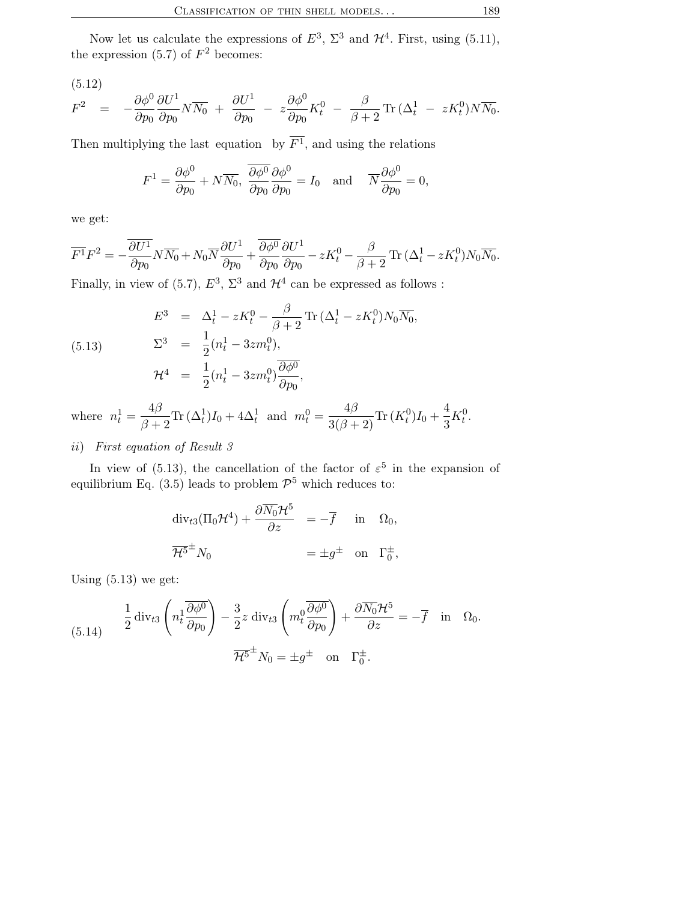Now let us calculate the expressions of  $E^3$ ,  $\Sigma^3$  and  $\mathcal{H}^4$ . First, using (5.11), the expression  $(5.7)$  of  $F<sup>2</sup>$  becomes:

(5.12)

$$
F^2 = -\frac{\partial \phi^0}{\partial p_0} \frac{\partial U^1}{\partial p_0} N \overline{N_0} + \frac{\partial U^1}{\partial p_0} - z \frac{\partial \phi^0}{\partial p_0} K_t^0 - \frac{\beta}{\beta + 2} \operatorname{Tr} (\Delta_t^1 - z K_t^0) N \overline{N_0}.
$$

Then multiplying the last equation by  $\overline{F}^1$ , and using the relations

$$
F^{1} = \frac{\partial \phi^{0}}{\partial p_{0}} + N \overline{N_{0}}, \ \frac{\overline{\partial \phi^{0}}}{\partial p_{0}} \frac{\partial \phi^{0}}{\partial p_{0}} = I_{0} \text{ and } \overline{N} \frac{\partial \phi^{0}}{\partial p_{0}} = 0,
$$

we get:

$$
\overline{F^1}F^2 = -\frac{\overline{\partial U^1}}{\partial p_0}N\overline{N_0} + N_0\overline{N}\frac{\partial U^1}{\partial p_0} + \frac{\overline{\partial \phi^0}}{\partial p_0}\frac{\partial U^1}{\partial p_0} - zK_t^0 - \frac{\beta}{\beta+2}\operatorname{Tr}\left(\Delta_t^1 - zK_t^0\right)N_0\overline{N_0}.
$$

Finally, in view of (5.7),  $E^3$ ,  $\Sigma^3$  and  $\mathcal{H}^4$  can be expressed as follows :

(5.13) 
$$
E^{3} = \Delta_{t}^{1} - zK_{t}^{0} - \frac{\beta}{\beta + 2} \operatorname{Tr} (\Delta_{t}^{1} - zK_{t}^{0}) N_{0} \overline{N_{0}},
$$

$$
\Sigma^{3} = \frac{1}{2} (n_{t}^{1} - 3zm_{t}^{0}),
$$

$$
\mathcal{H}^{4} = \frac{1}{2} (n_{t}^{1} - 3zm_{t}^{0}) \frac{\overline{\partial \phi^{0}}}{\partial p_{0}},
$$

where  $n_t^1 = \frac{4\beta}{\beta}$  $\frac{4\beta}{\beta+2}\text{Tr}(\Delta_t^1)I_0 + 4\Delta_t^1$  and  $m_t^0 = \frac{4\beta}{3(\beta+2)}\text{Tr}(K_t^0)I_0 + \frac{4\beta}{3}$  $rac{4}{3}K_t^0$ .

# ii) First equation of Result 3

In view of (5.13), the cancellation of the factor of  $\varepsilon^5$  in the expansion of equilibrium Eq. (3.5) leads to problem  $\mathcal{P}^5$  which reduces to:

$$
\begin{aligned}\n\operatorname{div}_{t3}(\Pi_0 \mathcal{H}^4) + \frac{\partial \overline{N_0} \mathcal{H}^5}{\partial z} &= -\overline{f} \quad \text{in} \quad \Omega_0, \\
\overline{\mathcal{H}^5}^{\pm} N_0 &= \pm g^{\pm} \quad \text{on} \quad \Gamma_0^{\pm},\n\end{aligned}
$$

Using  $(5.13)$  we get:

(5.14) 
$$
\frac{1}{2} \operatorname{div}_{t3} \left( n_t \frac{\overline{\partial \phi^0}}{\partial p_0} \right) - \frac{3}{2} z \operatorname{div}_{t3} \left( m_t^0 \frac{\overline{\partial \phi^0}}{\partial p_0} \right) + \frac{\partial \overline{N_0} \mathcal{H}^5}{\partial z} = -\overline{f} \text{ in } \Omega_0.
$$

$$
\overline{\mathcal{H}^5}^{\pm} N_0 = \pm g^{\pm} \text{ on } \Gamma_0^{\pm}.
$$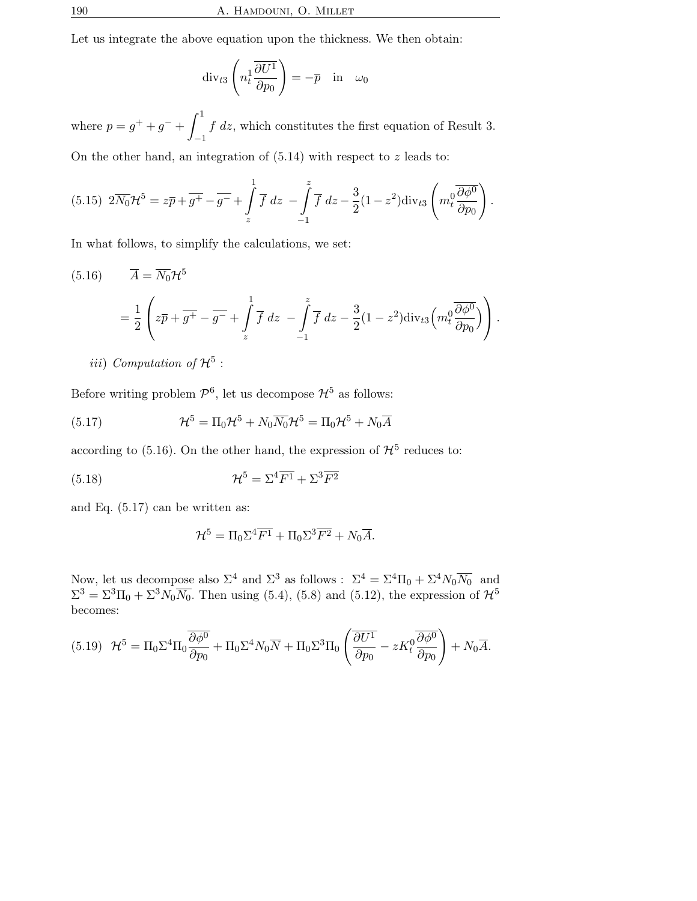Let us integrate the above equation upon the thickness. We then obtain:

$$
\operatorname{div}_{t3}\left(n_t^1 \frac{\overline{\partial U^1}}{\partial p_0}\right) = -\overline{p} \quad \text{in} \quad \omega_0
$$

where  $p = g^{+} + g^{-} + \int^{1}$ −1  $f$  dz, which constitutes the first equation of Result 3.

On the other hand, an integration of  $(5.14)$  with respect to z leads to:

$$
(5.15) \ 2\overline{N_0}\mathcal{H}^5 = z\overline{p} + \overline{g^+} - \overline{g^-} + \int_z^1 \overline{f} \ dz - \int_{-1}^z \overline{f} \ dz - \frac{3}{2}(1-z^2) \operatorname{div}_{t3}\left(m_t^0 \frac{\overline{\partial \phi^0}}{\partial p_0}\right)
$$

.

In what follows, to simplify the calculations, we set:

(5.16) 
$$
\overline{A} = \overline{N_0} \mathcal{H}^5
$$

$$
= \frac{1}{2} \left( z\overline{p} + \overline{g^+} - \overline{g^-} + \int_z^1 \overline{f} \, dz - \int_{-1}^z \overline{f} \, dz - \frac{3}{2} (1 - z^2) \operatorname{div}_{t3} \left( m_t^0 \frac{\overline{\partial \phi^0}}{\partial p_0} \right) \right).
$$

iii) Computation of  $\mathcal{H}^5$ :

Before writing problem  $\mathcal{P}^6$ , let us decompose  $\mathcal{H}^5$  as follows:

(5.17) 
$$
\mathcal{H}^5 = \Pi_0 \mathcal{H}^5 + N_0 \overline{N_0} \mathcal{H}^5 = \Pi_0 \mathcal{H}^5 + N_0 \overline{A}
$$

according to (5.16). On the other hand, the expression of  $\mathcal{H}^5$  reduces to:

(5.18) 
$$
\mathcal{H}^5 = \Sigma^4 \overline{F^1} + \Sigma^3 \overline{F^2}
$$

and Eq. (5.17) can be written as:

$$
\mathcal{H}^5 = \Pi_0 \Sigma^4 \overline{F^1} + \Pi_0 \Sigma^3 \overline{F^2} + N_0 \overline{A}.
$$

Now, let us decompose also  $\Sigma^4$  and  $\Sigma^3$  as follows :  $\Sigma^4 = \Sigma^4 \Pi_0 + \Sigma^4 N_0 \overline{N_0}$  and  $\Sigma^3 = \Sigma^3 \Pi_0 + \Sigma^3 N_0 \overline{N_0}$ . Then using (5.4), (5.8) and (5.12), the expression of  $\mathcal{H}^5$ becomes:

$$
(5.19)\quad \mathcal{H}^5 = \Pi_0 \Sigma^4 \Pi_0 \frac{\overline{\partial \phi^0}}{\partial p_0} + \Pi_0 \Sigma^4 N_0 \overline{N} + \Pi_0 \Sigma^3 \Pi_0 \left( \frac{\overline{\partial U^1}}{\partial p_0} - z K_t^0 \frac{\overline{\partial \phi^0}}{\partial p_0} \right) + N_0 \overline{A}.
$$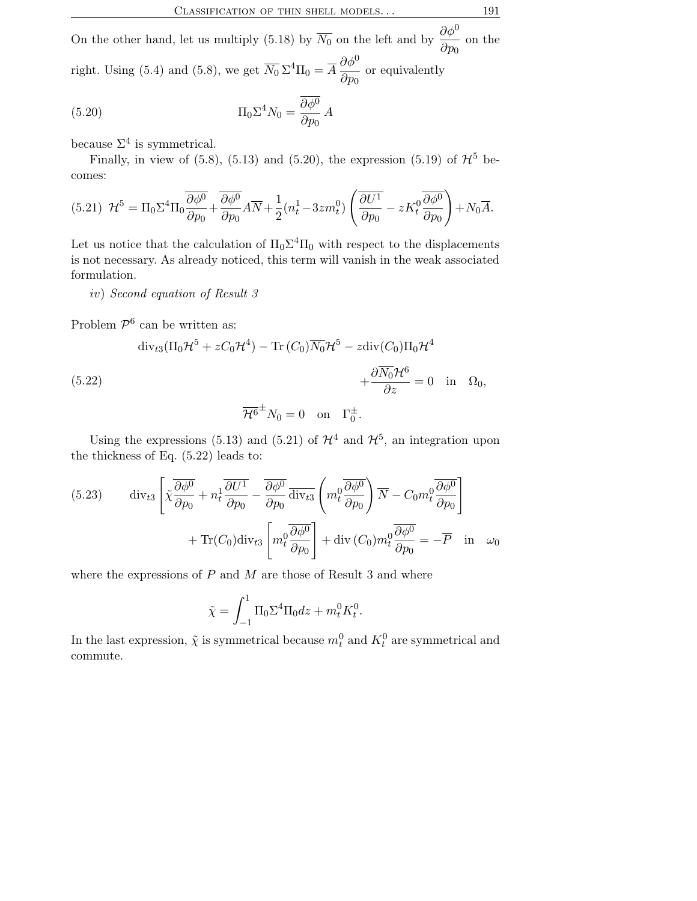On the other hand, let us multiply (5.18) by  $\overline{N_0}$  on the left and by  $\frac{\partial \phi^0}{\partial n}$  $rac{\sigma \varphi}{\partial p_0}$  on the right. Using (5.4) and (5.8), we get  $\overline{N_0} \Sigma^4 \Pi_0 = \overline{A} \frac{\partial \phi^0}{\partial x^0}$  $rac{\sigma \varphi}{\partial p_0}$  or equivalently

(5.20) 
$$
\Pi_0 \Sigma^4 N_0 = \frac{\partial \phi^0}{\partial p_0} A
$$

because  $\Sigma^4$  is symmetrical.

Finally, in view of (5.8), (5.13) and (5.20), the expression (5.19) of  $\mathcal{H}^5$  becomes:

$$
(5.21)\ \mathcal{H}^5 = \Pi_0 \Sigma^4 \Pi_0 \frac{\overline{\partial \phi^0}}{\partial p_0} + \frac{\overline{\partial \phi^0}}{\partial p_0} A \overline{N} + \frac{1}{2} (n_t^1 - 3zm_t^0) \left( \frac{\overline{\partial U^1}}{\partial p_0} - zK_t^0 \frac{\overline{\partial \phi^0}}{\partial p_0} \right) + N_0 \overline{A}.
$$

Let us notice that the calculation of  $\Pi_0 \Sigma^4 \Pi_0$  with respect to the displacements is not necessary. As already noticed, this term will vanish in the weak associated formulation.

iv) Second equation of Result 3

Problem  $\mathcal{P}^6$  can be written as:

$$
\operatorname{div}_{t3}(\Pi_0 \mathcal{H}^5 + zC_0 \mathcal{H}^4) - \operatorname{Tr}(C_0) \overline{N_0} \mathcal{H}^5 - z \operatorname{div}(C_0) \Pi_0 \mathcal{H}^4
$$

$$
+ \frac{\partial \overline{N_0} \mathcal{H}^6}{\partial z} = 0 \quad \text{in} \quad \Omega_0,
$$

$$
\overline{\mathcal{H}^6}^{\pm} N_0 = 0 \quad \text{on} \quad \Gamma_0^{\pm}.
$$

Using the expressions (5.13) and (5.21) of  $\mathcal{H}^4$  and  $\mathcal{H}^5$ , an integration upon the thickness of Eq. (5.22) leads to:

(5.23) 
$$
\operatorname{div}_{t3} \left[ \tilde{\chi} \frac{\overline{\partial \phi^0}}{\partial p_0} + n_t^1 \frac{\overline{\partial U^1}}{\partial p_0} - \frac{\overline{\partial \phi^0}}{\partial p_0} \overline{\operatorname{div}_{t3}} \left( m_t^0 \frac{\overline{\partial \phi^0}}{\partial p_0} \right) \overline{N} - C_0 m_t^0 \frac{\overline{\partial \phi^0}}{\partial p_0} \right] + \operatorname{Tr}(C_0) \operatorname{div}_{t3} \left[ m_t^0 \frac{\overline{\partial \phi^0}}{\partial p_0} \right] + \operatorname{div}(C_0) m_t^0 \frac{\overline{\partial \phi^0}}{\partial p_0} = -\overline{P} \quad \text{in} \quad \omega_0
$$

where the expressions of  $P$  and  $M$  are those of Result 3 and where

$$
\tilde{\chi} = \int_{-1}^{1} \Pi_0 \Sigma^4 \Pi_0 dz + m_t^0 K_t^0
$$

.

In the last expression,  $\tilde{\chi}$  is symmetrical because  $m_t^0$  and  $K_t^0$  are symmetrical and commute.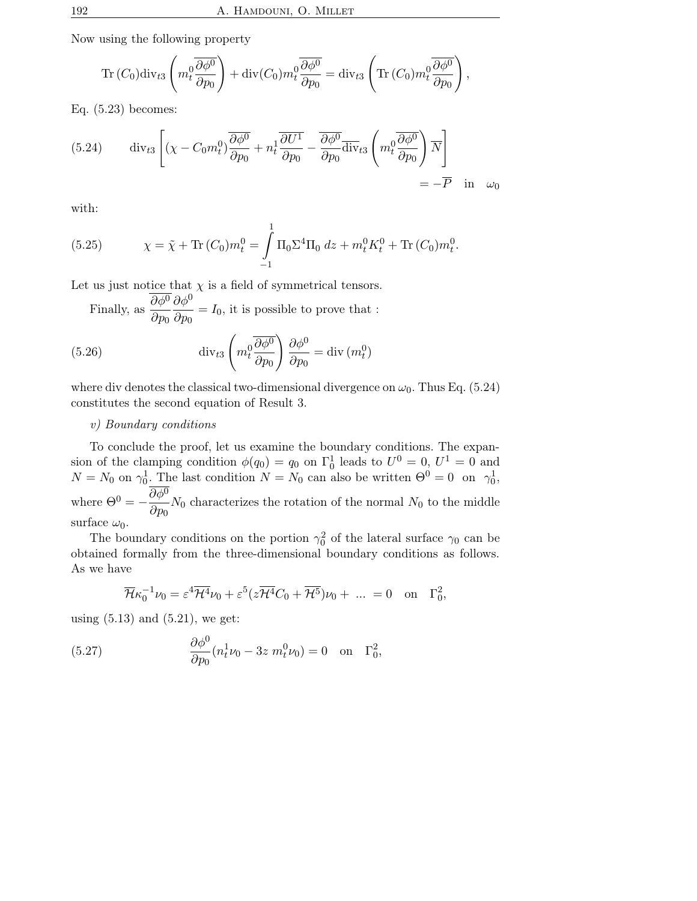Now using the following property

$$
\text{Tr}\left(C_0\right) \text{div}_{t3}\left(m_t^0 \frac{\overline{\partial \phi^0}}{\partial p_0}\right) + \text{div}(C_0)m_t^0 \frac{\overline{\partial \phi^0}}{\partial p_0} = \text{div}_{t3}\left(\text{Tr}\left(C_0\right)m_t^0 \frac{\overline{\partial \phi^0}}{\partial p_0}\right),
$$

Eq. (5.23) becomes:

(5.24) 
$$
\operatorname{div}_{t3}\left[ (\chi - C_0 m_t^0) \frac{\overline{\partial \phi^0}}{\partial p_0} + n_t^1 \frac{\overline{\partial U^1}}{\partial p_0} - \frac{\overline{\partial \phi^0}}{\partial p_0} \overline{\operatorname{div}}_{t3} \left( m_t^0 \frac{\overline{\partial \phi^0}}{\partial p_0} \right) \overline{N} \right] = -\overline{P} \quad \text{in} \quad \omega_0
$$

with:

(5.25) 
$$
\chi = \tilde{\chi} + \text{Tr}(C_0)m_t^0 = \int_{-1}^1 \Pi_0 \Sigma^4 \Pi_0 dz + m_t^0 K_t^0 + \text{Tr}(C_0)m_t^0.
$$

Let us just notice that  $\chi$  is a field of symmetrical tensors.

Finally, as  $\frac{\partial \phi^0}{\partial x^0}$  $\partial p_0$  $\partial\phi^0$  $\frac{\partial \varphi}{\partial p_0} = I_0$ , it is possible to prove that :

(5.26) 
$$
\operatorname{div}_{t3}\left(m_t^0 \frac{\overline{\partial \phi^0}}{\partial p_0}\right) \frac{\partial \phi^0}{\partial p_0} = \operatorname{div}(m_t^0)
$$

where div denotes the classical two-dimensional divergence on  $\omega_0$ . Thus Eq. (5.24) constitutes the second equation of Result 3.

## v) Boundary conditions

To conclude the proof, let us examine the boundary conditions. The expansion of the clamping condition  $\phi(q_0) = q_0$  on  $\Gamma_0^1$  leads to  $U^0 = 0$ ,  $U^1 = 0$  and  $N = N_0$  on  $\gamma_0^1$ . The last condition  $N = N_0$  can also be written  $\Theta^0 = 0$  on  $\gamma_0^1$ , where  $\Theta^0 = -\frac{\partial \phi^0}{\partial \phi^0}$  $\frac{\partial \varphi}{\partial p_0} N_0$  characterizes the rotation of the normal  $N_0$  to the middle surface  $\omega_0$ .

The boundary conditions on the portion  $\gamma_0^2$  of the lateral surface  $\gamma_0$  can be obtained formally from the three-dimensional boundary conditions as follows. As we have

$$
\overline{\mathcal{H}}\kappa_0^{-1}\nu_0 = \varepsilon^4 \overline{\mathcal{H}^4}\nu_0 + \varepsilon^5 (z\overline{\mathcal{H}^4}C_0 + \overline{\mathcal{H}^5})\nu_0 + \dots = 0 \text{ on } \Gamma_0^2,
$$

using  $(5.13)$  and  $(5.21)$ , we get:

(5.27) 
$$
\frac{\partial \phi^0}{\partial p_0} (n_t^1 \nu_0 - 3z \ m_t^0 \nu_0) = 0 \text{ on } \Gamma_0^2,
$$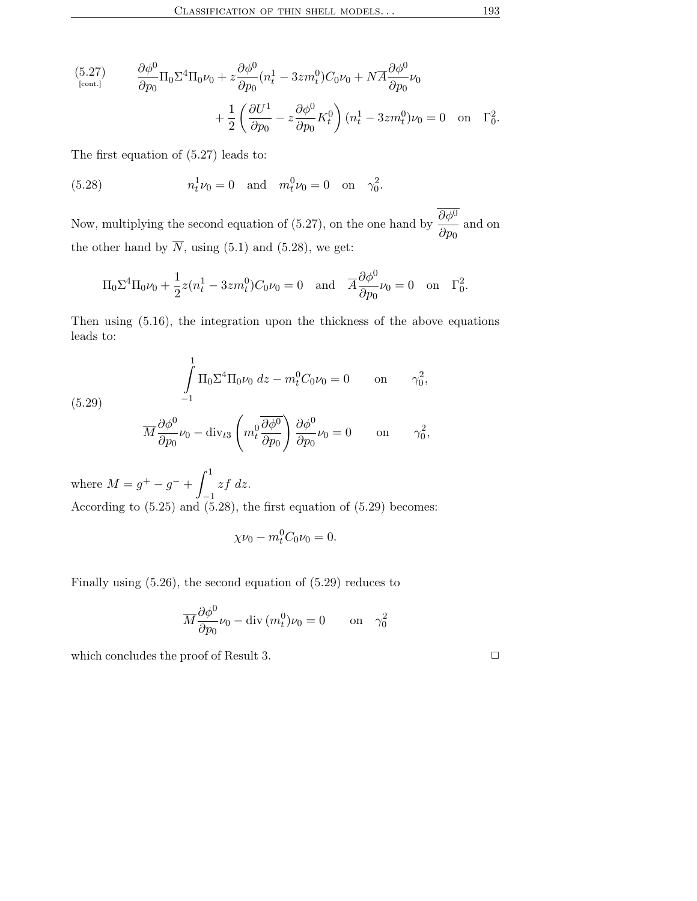(5.27)  
\n
$$
\frac{\partial \phi^0}{\partial p_0} \Pi_0 \Sigma^4 \Pi_0 \nu_0 + z \frac{\partial \phi^0}{\partial p_0} (n_t^1 - 3zm_t^0) C_0 \nu_0 + N \overline{A} \frac{\partial \phi^0}{\partial p_0} \nu_0 + \frac{1}{2} \left( \frac{\partial U^1}{\partial p_0} - z \frac{\partial \phi^0}{\partial p_0} K_t^0 \right) (n_t^1 - 3zm_t^0) \nu_0 = 0 \text{ on } \Gamma_0^2.
$$

The first equation of (5.27) leads to:

(5.28) 
$$
n_t^1 \nu_0 = 0
$$
 and  $m_t^0 \nu_0 = 0$  on  $\gamma_0^2$ .

Now, multiplying the second equation of (5.27), on the one hand by  $\frac{\partial \phi^0}{\partial \phi^0}$  $rac{\sigma}{\partial p_0}$  and on the other hand by  $\overline{N}$ , using (5.1) and (5.28), we get:

$$
\Pi_0 \Sigma^4 \Pi_0 \nu_0 + \frac{1}{2} z (n_t^1 - 3z m_t^0) C_0 \nu_0 = 0
$$
 and  $\overline{A} \frac{\partial \phi^0}{\partial p_0} \nu_0 = 0$  on  $\Gamma_0^2$ .

Then using (5.16), the integration upon the thickness of the above equations leads to:

(5.29)  

$$
\int_{-1}^{1} \Pi_{0} \Sigma^{4} \Pi_{0} \nu_{0} dz - m_{t}^{0} C_{0} \nu_{0} = 0 \quad \text{on} \quad \gamma_{0}^{2},
$$

$$
\overline{M} \frac{\partial \phi^{0}}{\partial p_{0}} \nu_{0} - \text{div}_{t3} \left( m_{t}^{0} \frac{\partial \phi^{0}}{\partial p_{0}} \right) \frac{\partial \phi^{0}}{\partial p_{0}} \nu_{0} = 0 \quad \text{on} \quad \gamma_{0}^{2},
$$

where  $M = g^{+} - g^{-} + \int^{1}$ −1 zf dz. According to (5.25) and (5.28), the first equation of (5.29) becomes:

$$
\chi \nu_0 - m_t^0 C_0 \nu_0 = 0.
$$

Finally using (5.26), the second equation of (5.29) reduces to

$$
\overline{M}\frac{\partial \phi^0}{\partial p_0}\nu_0 - \text{div}(m_t^0)\nu_0 = 0 \quad \text{on} \quad \gamma_0^2
$$

which concludes the proof of Result 3.  $\Box$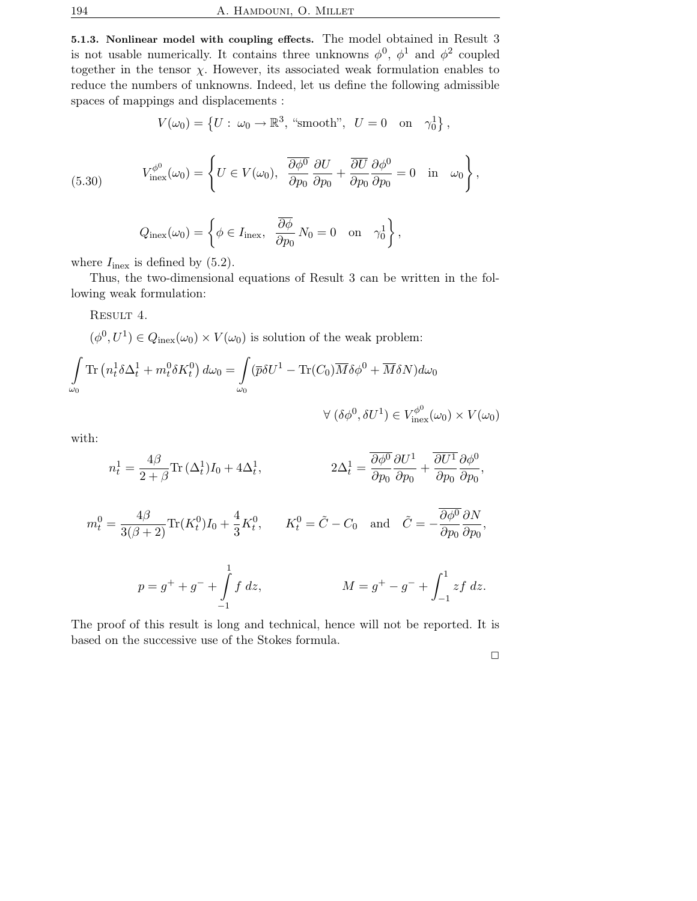194 A. HAMDOUNI, O. MILLET

5.1.3. Nonlinear model with coupling effects. The model obtained in Result 3 is not usable numerically. It contains three unknowns  $\phi^0$ ,  $\phi^1$  and  $\phi^2$  coupled together in the tensor  $\chi$ . However, its associated weak formulation enables to reduce the numbers of unknowns. Indeed, let us define the following admissible spaces of mappings and displacements :

$$
V(\omega_0) = \left\{ U: \ \omega_0 \to \mathbb{R}^3, \ \text{``smooth''}, \ \ U = 0 \quad \text{on} \quad \gamma_0^1 \right\},
$$

(5.30) 
$$
V_{\text{inex}}^{\phi^0}(\omega_0) = \left\{ U \in V(\omega_0), \ \ \frac{\overline{\partial \phi^0}}{\partial p_0} \frac{\partial U}{\partial p_0} + \frac{\overline{\partial U}}{\partial p_0} \frac{\partial \phi^0}{\partial p_0} = 0 \ \text{in} \ \omega_0 \right\},
$$

$$
Q_{\text{inex}}(\omega_0) = \left\{ \phi \in I_{\text{inex}}, \ \frac{\overline{\partial \phi}}{\partial p_0} N_0 = 0 \text{ on } \gamma_0^1 \right\},\
$$

where  $I_{\text{inex}}$  is defined by (5.2).

Thus, the two-dimensional equations of Result 3 can be written in the following weak formulation:

Result 4.

 $(\phi^0, U^1) \in Q_{\text{inex}}(\omega_0) \times V(\omega_0)$  is solution of the weak problem:

$$
\int_{\omega_0} \text{Tr} \left( n_t^1 \delta \Delta_t^1 + m_t^0 \delta K_t^0 \right) d\omega_0 = \int_{\omega_0} (\overline{p} \delta U^1 - \text{Tr}(C_0) \overline{M} \delta \phi^0 + \overline{M} \delta N) d\omega_0
$$

$$
\forall \ (\delta \phi^0, \delta U^1) \in V_{\text{inex}}^{\phi^0}(\omega_0) \times V(\omega_0)
$$

with:

$$
n_t^1 = \frac{4\beta}{2+\beta} \text{Tr} \left(\Delta_t^1\right) I_0 + 4\Delta_t^1, \qquad 2\Delta_t^1 = \frac{\overline{\partial \phi^0}}{\partial p_0} \frac{\partial U^1}{\partial p_0} + \frac{\overline{\partial U^1}}{\partial p_0} \frac{\partial \phi^0}{\partial p_0},
$$

$$
m_t^0 = \frac{4\beta}{3(\beta+2)} \text{Tr}(K_t^0) I_0 + \frac{4}{3} K_t^0, \qquad K_t^0 = \tilde{C} - C_0 \quad \text{and} \quad \tilde{C} = -\frac{\overline{\partial \phi^0}}{\partial p_0} \frac{\partial N}{\partial p_0},
$$

$$
p = g^{+} + g^{-} + \int_{-1}^{1} f \, dz, \qquad \qquad M = g^{+} - g^{-} + \int_{-1}^{1} z f \, dz.
$$

The proof of this result is long and technical, hence will not be reported. It is based on the successive use of the Stokes formula.

 $\Box$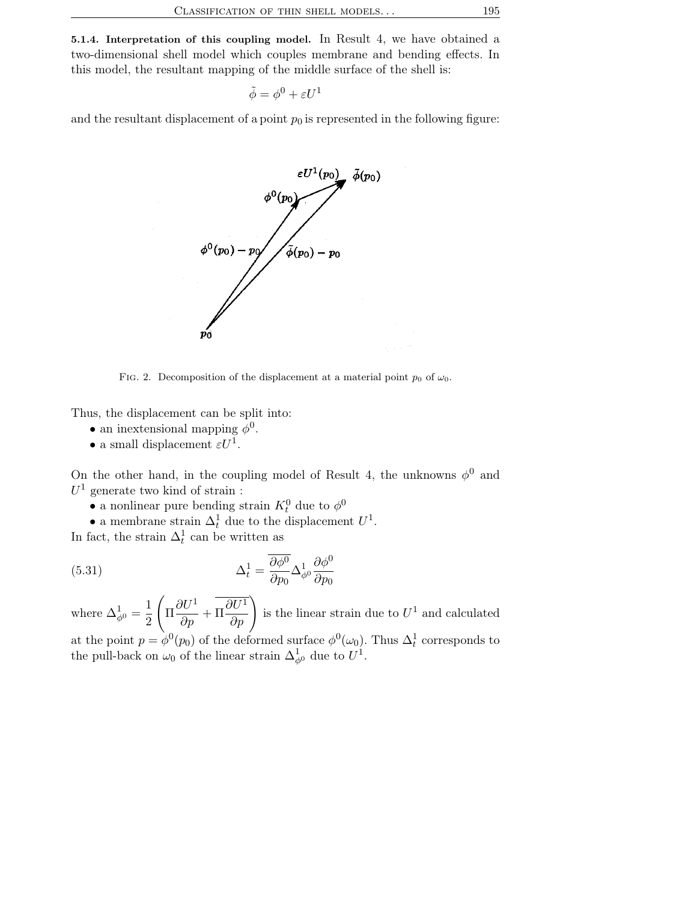5.1.4. Interpretation of this coupling model. In Result 4, we have obtained a two-dimensional shell model which couples membrane and bending effects. In this model, the resultant mapping of the middle surface of the shell is:

$$
\tilde{\phi} = \phi^0 + \varepsilon U^1
$$

and the resultant displacement of a point  $p_0$  is represented in the following figure:



FIG. 2. Decomposition of the displacement at a material point  $p_0$  of  $\omega_0$ .

Thus, the displacement can be split into:

- an inextensional mapping  $\phi^0$ .
- a small displacement  $\varepsilon U^1$ .

On the other hand, in the coupling model of Result 4, the unknowns  $\phi^0$  and  $U^1$  generate two kind of strain :

- a nonlinear pure bending strain  $K_t^0$  due to  $\phi^0$
- a membrane strain  $\Delta_t^1$  due to the displacement  $U^1$ .

In fact, the strain  $\Delta_t^1$  can be written as

(5.31) 
$$
\Delta_t^1 = \frac{\overline{\partial \phi^0}}{\partial p_0} \Delta_{\phi^0}^1 \frac{\partial \phi^0}{\partial p_0}
$$

where  $\Delta_{\phi^0}^1 = \frac{1}{2}$ 2  $\sqrt{2}$  $\Pi \frac{\partial U^1}{\partial \tau}$  $\frac{\partial U^1}{\partial p} + \Pi \frac{\partial U^1}{\partial p}$ ∂p ! is the linear strain due to  $U^1$  and calculated

at the point  $p = \phi^0(p_0)$  of the deformed surface  $\phi^0(\omega_0)$ . Thus  $\Delta_t^1$  corresponds to the pull-back on  $\omega_0$  of the linear strain  $\Delta_{\phi^0}^1$  due to  $U^1$ .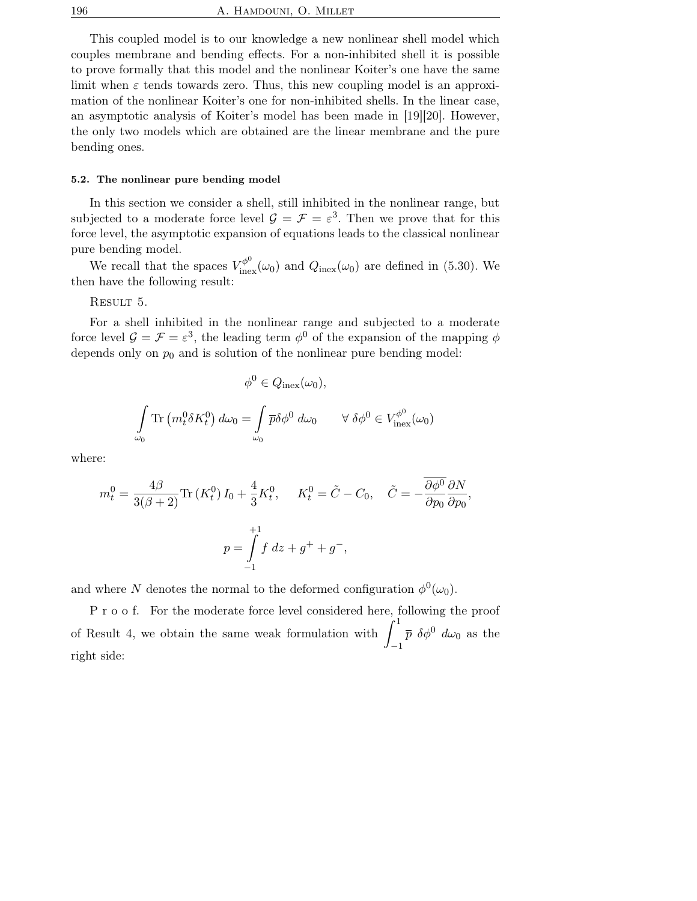This coupled model is to our knowledge a new nonlinear shell model which couples membrane and bending effects. For a non-inhibited shell it is possible to prove formally that this model and the nonlinear Koiter's one have the same limit when  $\varepsilon$  tends towards zero. Thus, this new coupling model is an approximation of the nonlinear Koiter's one for non-inhibited shells. In the linear case, an asymptotic analysis of Koiter's model has been made in [19][20]. However, the only two models which are obtained are the linear membrane and the pure bending ones.

#### 5.2. The nonlinear pure bending model

In this section we consider a shell, still inhibited in the nonlinear range, but subjected to a moderate force level  $\mathcal{G} = \mathcal{F} = \varepsilon^3$ . Then we prove that for this force level, the asymptotic expansion of equations leads to the classical nonlinear pure bending model.

We recall that the spaces  $V_{\text{inex}}^{\phi^0}(\omega_0)$  and  $Q_{\text{inex}}(\omega_0)$  are defined in (5.30). We then have the following result:

Result 5.

For a shell inhibited in the nonlinear range and subjected to a moderate force level  $\mathcal{G} = \mathcal{F} = \varepsilon^3$ , the leading term  $\phi^0$  of the expansion of the mapping  $\phi$ depends only on  $p_0$  and is solution of the nonlinear pure bending model:

$$
\phi^0 \in Q_{\text{inex}}(\omega_0),
$$
  

$$
\int_{\omega_0} \text{Tr} \left( m_t^0 \delta K_t^0 \right) d\omega_0 = \int_{\omega_0} \overline{p} \delta \phi^0 d\omega_0 \qquad \forall \ \delta \phi^0 \in V_{\text{inex}}^{\phi^0}(\omega_0)
$$

where:

$$
m_t^0 = \frac{4\beta}{3(\beta+2)} \text{Tr}\left(K_t^0\right) I_0 + \frac{4}{3} K_t^0, \quad K_t^0 = \tilde{C} - C_0, \quad \tilde{C} = -\frac{\overline{\partial \phi^0}}{\partial p_0} \frac{\partial N}{\partial p_0},
$$

$$
p = \int_{-1}^{+1} f \, dz + g^+ + g^-,
$$

and where N denotes the normal to the deformed configuration  $\phi^0(\omega_0)$ .

P r o o f. For the moderate force level considered here, following the proof of Result 4, we obtain the same weak formulation with  $\int_1^1$ −1  $\bar{p} \delta \phi^0 d\omega_0$  as the right side: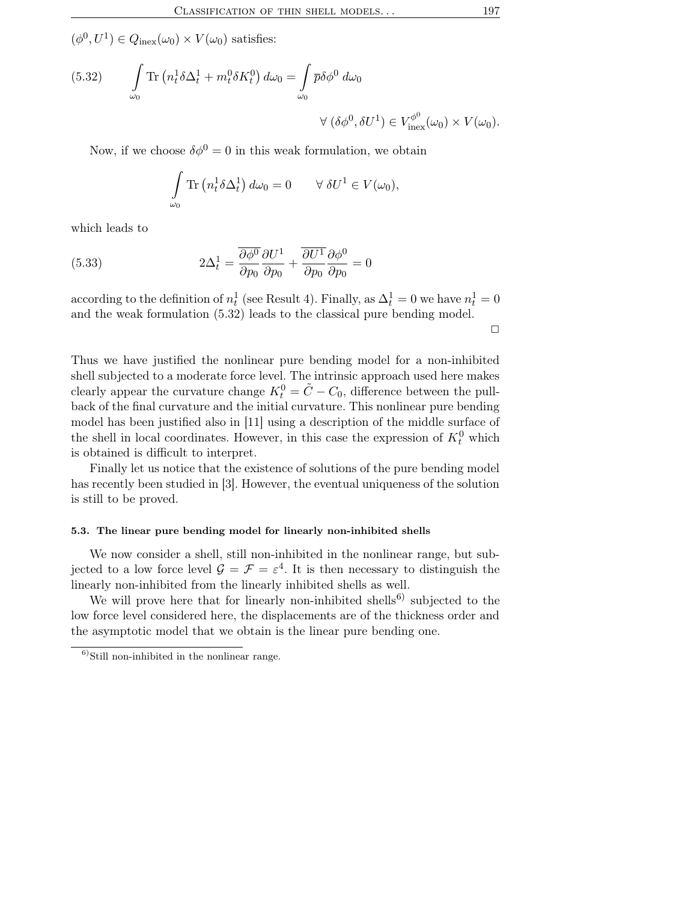$(\phi^0, U^1) \in Q_{\text{inex}}(\omega_0) \times V(\omega_0)$  satisfies:

(5.32) 
$$
\int_{\omega_0} \text{Tr} \left( n_t^1 \delta \Delta_t^1 + m_t^0 \delta K_t^0 \right) d\omega_0 = \int_{\omega_0} \overline{p} \delta \phi^0 d\omega_0
$$

$$
\forall \ (\delta \phi^0, \delta U^1) \in V_{\text{inex}}^{\phi^0}(\omega_0) \times V(\omega_0).
$$

Now, if we choose  $\delta \phi^0 = 0$  in this weak formulation, we obtain

$$
\int_{\omega_0} \text{Tr} \left( n_t^1 \delta \Delta_t^1 \right) d\omega_0 = 0 \qquad \forall \ \delta U^1 \in V(\omega_0),
$$

which leads to

(5.33) 
$$
2\Delta_t^1 = \frac{\overline{\partial \phi^0}}{\partial p_0} \frac{\partial U^1}{\partial p_0} + \frac{\overline{\partial U^1}}{\partial p_0} \frac{\partial \phi^0}{\partial p_0} = 0
$$

according to the definition of  $n_t^1$  (see Result 4). Finally, as  $\Delta_t^1 = 0$  we have  $n_t^1 = 0$ and the weak formulation (5.32) leads to the classical pure bending model.

 $\Box$ 

Thus we have justified the nonlinear pure bending model for a non-inhibited shell subjected to a moderate force level. The intrinsic approach used here makes clearly appear the curvature change  $K_t^0 = \tilde{C} - C_0$ , difference between the pullback of the final curvature and the initial curvature. This nonlinear pure bending model has been justified also in [11] using a description of the middle surface of the shell in local coordinates. However, in this case the expression of  $K_t^0$  which is obtained is difficult to interpret.

Finally let us notice that the existence of solutions of the pure bending model has recently been studied in [3]. However, the eventual uniqueness of the solution is still to be proved.

#### 5.3. The linear pure bending model for linearly non-inhibited shells

We now consider a shell, still non-inhibited in the nonlinear range, but subjected to a low force level  $\mathcal{G} = \mathcal{F} = \varepsilon^4$ . It is then necessary to distinguish the linearly non-inhibited from the linearly inhibited shells as well.

We will prove here that for linearly non-inhibited shells<sup>6)</sup> subjected to the low force level considered here, the displacements are of the thickness order and the asymptotic model that we obtain is the linear pure bending one.

 $<sup>6</sup>$ Still non-inhibited in the nonlinear range.</sup>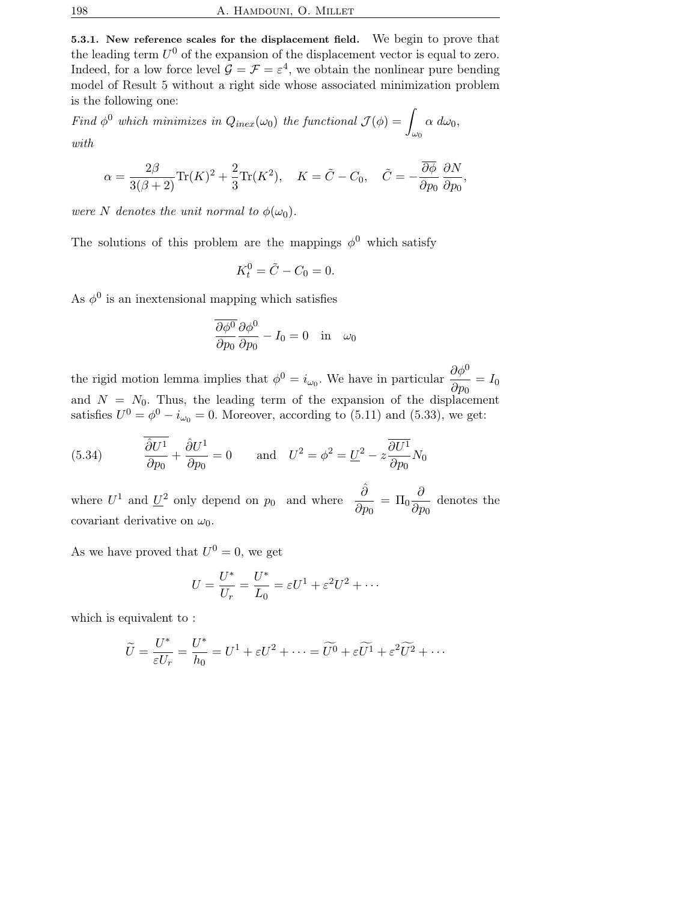5.3.1. New reference scales for the displacement field. We begin to prove that the leading term  $U^0$  of the expansion of the displacement vector is equal to zero. Indeed, for a low force level  $\mathcal{G} = \mathcal{F} = \varepsilon^4$ , we obtain the nonlinear pure bending model of Result 5 without a right side whose associated minimization problem is the following one:

Find  $\phi^0$  which minimizes in  $Q_{inex}(\omega_0)$  the functional  $\mathcal{J}(\phi) = \omega_0$  $\alpha d\omega_0$ , with

$$
\alpha = \frac{2\beta}{3(\beta+2)} \text{Tr}(K)^2 + \frac{2}{3} \text{Tr}(K^2), \quad K = \tilde{C} - C_0, \quad \tilde{C} = -\frac{\overline{\partial \phi}}{\partial p_0} \frac{\partial N}{\partial p_0},
$$

were N denotes the unit normal to  $\phi(\omega_0)$ .

The solutions of this problem are the mappings  $\phi^0$  which satisfy

$$
K_t^0 = \tilde{C} - C_0 = 0.
$$

As  $\phi^0$  is an inextensional mapping which satisfies

$$
\frac{\partial \phi^0}{\partial p_0} \frac{\partial \phi^0}{\partial p_0} - I_0 = 0 \quad \text{in} \quad \omega_0
$$

the rigid motion lemma implies that  $\phi^0 = i_{\omega_0}$ . We have in particular  $\frac{\partial \phi^0}{\partial x^0}$  $rac{\partial \varphi}{\partial p_0} = I_0$ and  $N = N_0$ . Thus, the leading term of the expansion of the displacement satisfies  $U^0 = \phi^0 - i_{\omega_0} = 0$ . Moreover, according to (5.11) and (5.33), we get:

(5.34) 
$$
\frac{\partial U^1}{\partial p_0} + \frac{\partial U^1}{\partial p_0} = 0 \quad \text{and} \quad U^2 = \phi^2 = \underline{U}^2 - z \frac{\overline{\partial U^1}}{\partial p_0} N_0
$$

where  $U^1$  and  $\underline{U}^2$  only depend on  $p_0$  and where  $\frac{\hat{\partial}}{\partial p_0} = \Pi_0 \frac{\partial}{\partial p_0}$  $rac{\delta}{\partial p_0}$  denotes the covariant derivative on  $\omega_0$ .

As we have proved that  $U^0 = 0$ , we get

$$
U = \frac{U^*}{U_r} = \frac{U^*}{L_0} = \varepsilon U^1 + \varepsilon^2 U^2 + \cdots
$$

which is equivalent to :

$$
\widetilde{U} = \frac{U^*}{\varepsilon U_r} = \frac{U^*}{h_0} = U^1 + \varepsilon U^2 + \dots = \widetilde{U^0} + \varepsilon \widetilde{U^1} + \varepsilon^2 \widetilde{U^2} + \dots
$$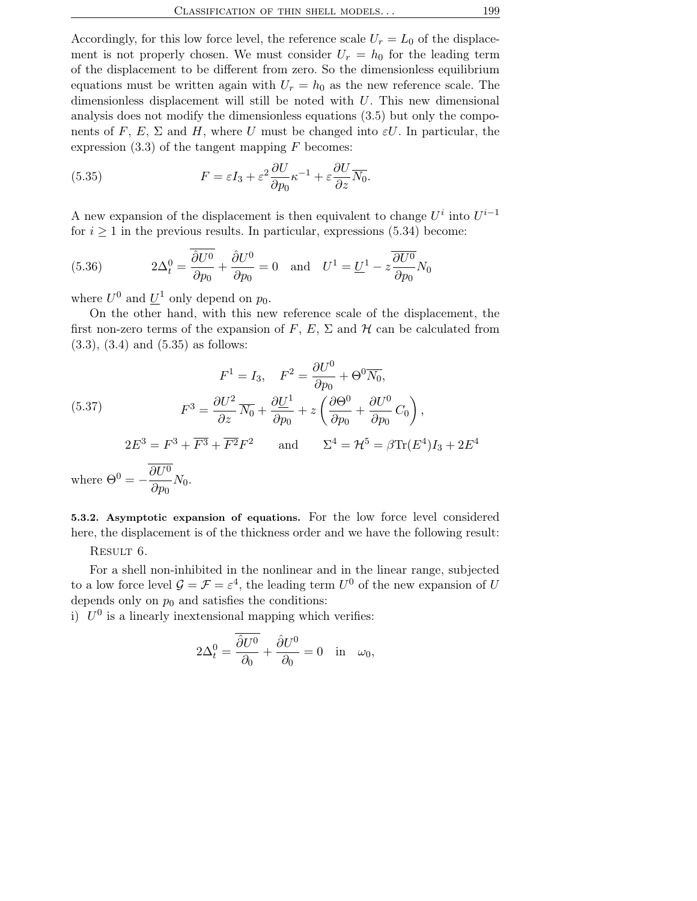Accordingly, for this low force level, the reference scale  $U_r = L_0$  of the displacement is not properly chosen. We must consider  $U_r = h_0$  for the leading term of the displacement to be different from zero. So the dimensionless equilibrium equations must be written again with  $U_r = h_0$  as the new reference scale. The dimensionless displacement will still be noted with  $U$ . This new dimensional analysis does not modify the dimensionless equations (3.5) but only the components of F, E,  $\Sigma$  and H, where U must be changed into  $\varepsilon U$ . In particular, the expression  $(3.3)$  of the tangent mapping F becomes:

(5.35) 
$$
F = \varepsilon I_3 + \varepsilon^2 \frac{\partial U}{\partial p_0} \kappa^{-1} + \varepsilon \frac{\partial U}{\partial z} \overline{N_0}.
$$

A new expansion of the displacement is then equivalent to change  $U^i$  into  $U^{i-1}$ for  $i \geq 1$  in the previous results. In particular, expressions (5.34) become:

(5.36) 
$$
2\Delta_t^0 = \frac{\hat{\partial}U^0}{\partial p_0} + \frac{\hat{\partial}U^0}{\partial p_0} = 0 \text{ and } U^1 = \underline{U}^1 - z\frac{\overline{\partial}U^0}{\partial p_0}N_0
$$

where  $U^0$  and  $\underline{U}^1$  only depend on  $p_0$ .

On the other hand, with this new reference scale of the displacement, the first non-zero terms of the expansion of F, E,  $\Sigma$  and H can be calculated from (3.3), (3.4) and (5.35) as follows:

(5.37)  
\n
$$
F^{1} = I_{3}, \quad F^{2} = \frac{\partial U^{0}}{\partial p_{0}} + \Theta^{0} \overline{N_{0}},
$$
\n
$$
F^{3} = \frac{\partial U^{2}}{\partial z} \overline{N_{0}} + \frac{\partial U^{1}}{\partial p_{0}} + z \left( \frac{\partial \Theta^{0}}{\partial p_{0}} + \frac{\partial U^{0}}{\partial p_{0}} C_{0} \right),
$$
\n
$$
2E^{3} = F^{3} + \overline{F^{3}} + \overline{F^{2}} F^{2} \quad \text{and} \quad \Sigma^{4} = \mathcal{H}^{5} = \beta \text{Tr}(E^{4}) I_{3} + 2E^{4}
$$
\nwhere  $\Theta^{0} = -\frac{\overline{\partial U^{0}}}{\partial p_{0}} N_{0}.$ 

5.3.2. Asymptotic expansion of equations. For the low force level considered here, the displacement is of the thickness order and we have the following result:

Result 6.

For a shell non-inhibited in the nonlinear and in the linear range, subjected to a low force level  $\mathcal{G} = \mathcal{F} = \varepsilon^4$ , the leading term  $U^0$  of the new expansion of U depends only on  $p_0$  and satisfies the conditions:

i)  $U^0$  is a linearly inextensional mapping which verifies:

$$
2\Delta_t^0 = \frac{\hat{\partial}U^0}{\partial_0} + \frac{\hat{\partial}U^0}{\partial_0} = 0 \quad \text{in} \quad \omega_0,
$$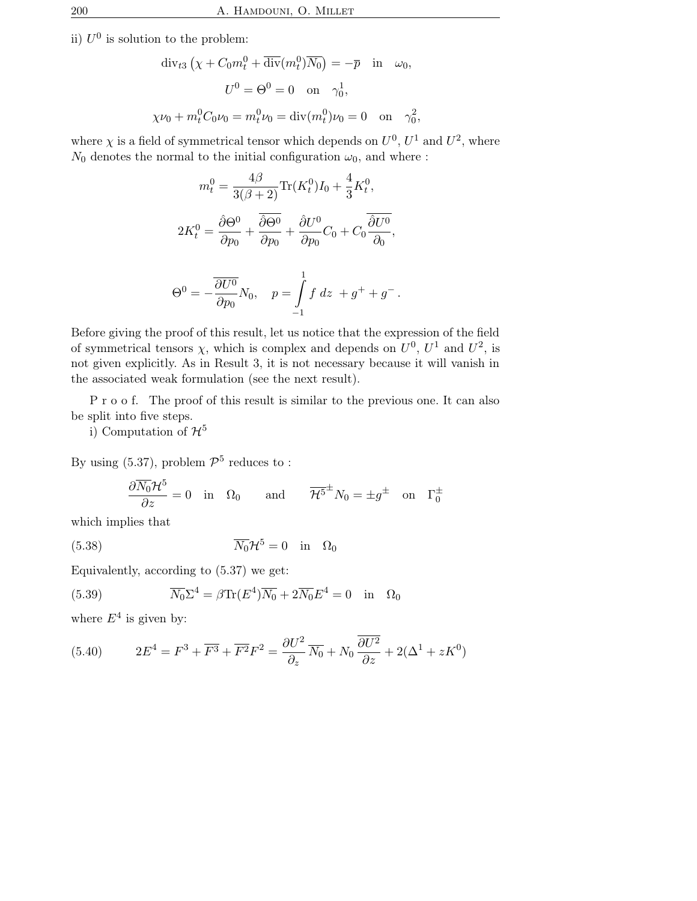ii)  $U^0$  is solution to the problem:

$$
\operatorname{div}_{t3} \left( \chi + C_0 m_t^0 + \overline{\operatorname{div}}(m_t^0) \overline{N_0} \right) = -\overline{p} \quad \text{in} \quad \omega_0,
$$
  

$$
U^0 = \Theta^0 = 0 \quad \text{on} \quad \gamma_0^1,
$$
  

$$
\chi \nu_0 + m_t^0 C_0 \nu_0 = m_t^0 \nu_0 = \operatorname{div}(m_t^0) \nu_0 = 0 \quad \text{on} \quad \gamma_0^2,
$$

where  $\chi$  is a field of symmetrical tensor which depends on  $U^0$ ,  $U^1$  and  $U^2$ , where  $N_0$  denotes the normal to the initial configuration  $\omega_0$ , and where :

$$
m_t^0 = \frac{4\beta}{3(\beta+2)} \text{Tr}(K_t^0) I_0 + \frac{4}{3} K_t^0,
$$
  

$$
2K_t^0 = \frac{\hat{\partial}\Theta^0}{\partial p_0} + \frac{\hat{\partial}\Theta^0}{\partial p_0} + \frac{\hat{\partial}U^0}{\partial p_0} C_0 + C_0 \frac{\hat{\partial}U^0}{\partial q_0},
$$

$$
\Theta^0 = -\frac{\partial U^{\circ}}{\partial p_0} N_0, \quad p = \int_{-1} f \, dz + g^+ + g^- \, .
$$

Before giving the proof of this result, let us notice that the expression of the field of symmetrical tensors  $\chi$ , which is complex and depends on  $U^0$ ,  $U^1$  and  $U^2$ , is not given explicitly. As in Result 3, it is not necessary because it will vanish in the associated weak formulation (see the next result).

P r o o f. The proof of this result is similar to the previous one. It can also be split into five steps.

i) Computation of  $\mathcal{H}^5$ 

By using  $(5.37)$ , problem  $\mathcal{P}^5$  reduces to:

$$
\frac{\partial \overline{N_0} \mathcal{H}^5}{\partial z} = 0 \quad \text{in} \quad \Omega_0 \qquad \text{and} \qquad \overline{\mathcal{H}^5}^{\pm} N_0 = \pm g^{\pm} \quad \text{on} \quad \Gamma_0^{\pm}
$$

which implies that

(5.38) 
$$
\overline{N_0} \mathcal{H}^5 = 0 \quad \text{in} \quad \Omega_0
$$

Equivalently, according to (5.37) we get:

(5.39) 
$$
\overline{N_0} \Sigma^4 = \beta \text{Tr}(E^4) \overline{N_0} + 2 \overline{N_0} E^4 = 0 \text{ in } \Omega_0
$$

where  $E^4$  is given by:

(5.40) 
$$
2E^4 = F^3 + \overline{F^3} + \overline{F^2}F^2 = \frac{\partial U^2}{\partial_z} \overline{N_0} + N_0 \frac{\overline{\partial U^2}}{\partial z} + 2(\Delta^1 + zK^0)
$$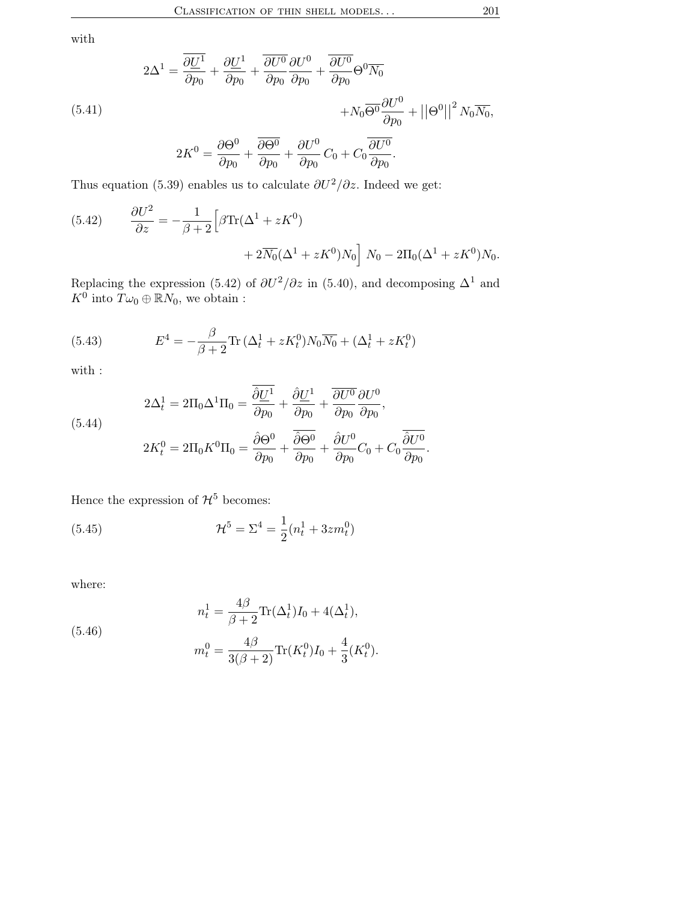with

$$
2\Delta^{1} = \frac{\overline{\partial U^{1}}}{\partial p_{0}} + \frac{\partial U^{1}}{\partial p_{0}} + \frac{\overline{\partial U^{0}}}{\partial p_{0}} \frac{\partial U^{0}}{\partial p_{0}} + \frac{\overline{\partial U^{0}}}{\partial p_{0}} \Theta^{0} \overline{N_{0}}
$$
  
(5.41)  

$$
+ N_{0} \overline{\Theta^{0}} \frac{\partial U^{0}}{\partial p_{0}} + ||\Theta^{0}||^{2} N_{0} \overline{N_{0}},
$$

$$
2K^{0} = \frac{\partial \Theta^{0}}{\partial p_{0}} + \frac{\overline{\partial \Theta^{0}}}{\partial p_{0}} + \frac{\partial U^{0}}{\partial p_{0}} C_{0} + C_{0} \frac{\overline{\partial U^{0}}}{\partial p_{0}}.
$$

Thus equation (5.39) enables us to calculate  $\partial U^2/\partial z$ . Indeed we get:

(5.42) 
$$
\frac{\partial U^2}{\partial z} = -\frac{1}{\beta + 2} \Big[ \beta \text{Tr}(\Delta^1 + zK^0) + 2\overline{N_0}(\Delta^1 + zK^0)N_0 \Big] N_0 - 2\Pi_0(\Delta^1 + zK^0)N_0.
$$

Replacing the expression (5.42) of  $\partial U^2/\partial z$  in (5.40), and decomposing  $\Delta^1$  and  $K^0$  into  $T\omega_0 \oplus \mathbb{R}N_0$ , we obtain :

(5.43) 
$$
E^{4} = -\frac{\beta}{\beta+2} \text{Tr} \left( \Delta_{t}^{1} + z K_{t}^{0} \right) N_{0} \overline{N_{0}} + \left( \Delta_{t}^{1} + z K_{t}^{0} \right)
$$

with :

(5.44)  
\n
$$
2\Delta_t^1 = 2\Pi_0 \Delta^1 \Pi_0 = \frac{\overline{\partial U^1}}{\partial p_0} + \frac{\partial U^1}{\partial p_0} + \frac{\overline{\partial U^0}}{\partial p_0} \frac{\partial U^0}{\partial p_0},
$$
\n
$$
2K_t^0 = 2\Pi_0 K^0 \Pi_0 = \frac{\overline{\partial \Theta^0}}{\partial p_0} + \frac{\overline{\partial \Theta^0}}{\partial p_0} + \frac{\overline{\partial U^0}}{\partial p_0} C_0 + C_0 \frac{\overline{\partial U^0}}{\partial p_0}.
$$

Hence the expression of  $\mathcal{H}^5$  becomes:

(5.45) 
$$
\mathcal{H}^5 = \Sigma^4 = \frac{1}{2}(n_t^1 + 3zm_t^0)
$$

where:

(5.46) 
$$
n_t^1 = \frac{4\beta}{\beta + 2} \text{Tr}(\Delta_t^1) I_0 + 4(\Delta_t^1),
$$

$$
m_t^0 = \frac{4\beta}{3(\beta + 2)} \text{Tr}(K_t^0) I_0 + \frac{4}{3}(K_t^0).
$$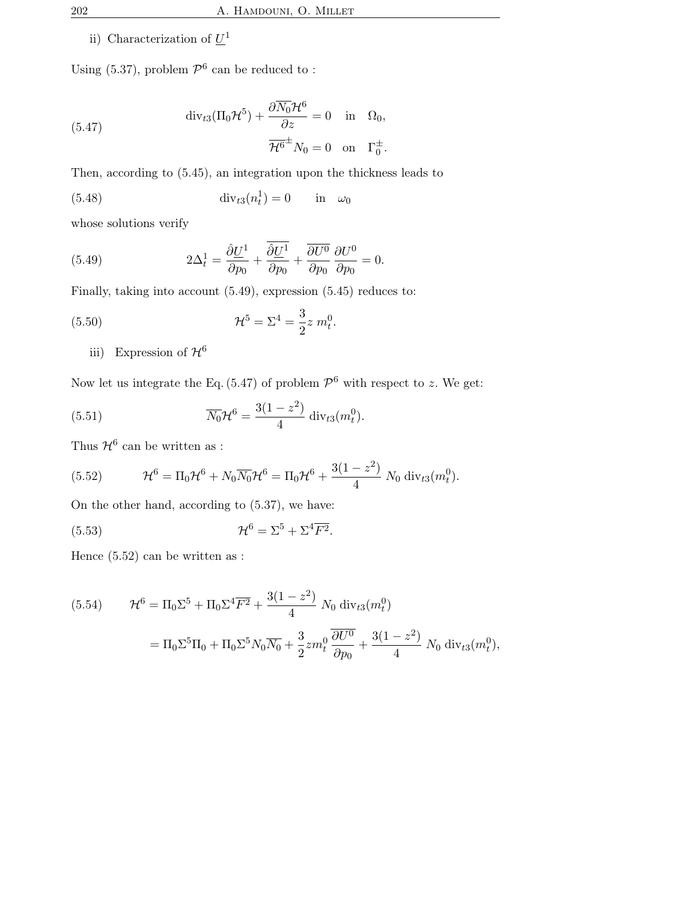# ii) Characterization of  $U^1$

Using (5.37), problem  $\mathcal{P}^6$  can be reduced to:

(5.47) 
$$
\operatorname{div}_{t3}(\Pi_0 \mathcal{H}^5) + \frac{\partial \overline{N_0} \mathcal{H}^6}{\partial z} = 0 \text{ in } \Omega_0,
$$

$$
\overline{\mathcal{H}^6}^{\pm} N_0 = 0 \text{ on } \Gamma_0^{\pm}.
$$

Then, according to (5.45), an integration upon the thickness leads to

(5.48) 
$$
\operatorname{div}_{t3}(n_t^1) = 0 \quad \text{in} \quad \omega_0
$$

whose solutions verify

(5.49) 
$$
2\Delta_t^1 = \frac{\partial U^1}{\partial p_0} + \frac{\overline{\partial U^1}}{\partial p_0} + \frac{\overline{\partial U^0}}{\partial p_0} \frac{\partial U^0}{\partial p_0} = 0.
$$

Finally, taking into account (5.49), expression (5.45) reduces to:

(5.50) 
$$
\mathcal{H}^5 = \Sigma^4 = \frac{3}{2} z m_t^0.
$$

iii) Expression of  $\mathcal{H}^6$ 

Now let us integrate the Eq.  $(5.47)$  of problem  $\mathcal{P}^6$  with respect to z. We get:

(5.51) 
$$
\overline{N_0} \mathcal{H}^6 = \frac{3(1-z^2)}{4} \operatorname{div}_{t3}(m_t^0).
$$

Thus  $\mathcal{H}^6$  can be written as :

(5.52) 
$$
\mathcal{H}^6 = \Pi_0 \mathcal{H}^6 + N_0 \overline{N_0} \mathcal{H}^6 = \Pi_0 \mathcal{H}^6 + \frac{3(1-z^2)}{4} N_0 \operatorname{div}_{t3}(m_t^0).
$$

On the other hand, according to (5.37), we have:

(5.53) 
$$
\mathcal{H}^6 = \Sigma^5 + \Sigma^4 \overline{F^2}.
$$

Hence (5.52) can be written as :

(5.54) 
$$
\mathcal{H}^6 = \Pi_0 \Sigma^5 + \Pi_0 \Sigma^4 \overline{F^2} + \frac{3(1-z^2)}{4} N_0 \operatorname{div}_{t3}(m_t^0)
$$

$$
= \Pi_0 \Sigma^5 \Pi_0 + \Pi_0 \Sigma^5 N_0 \overline{N_0} + \frac{3}{2} z m_t^0 \frac{\partial U^0}{\partial p_0} + \frac{3(1-z^2)}{4} N_0 \operatorname{div}_{t3}(m_t^0),
$$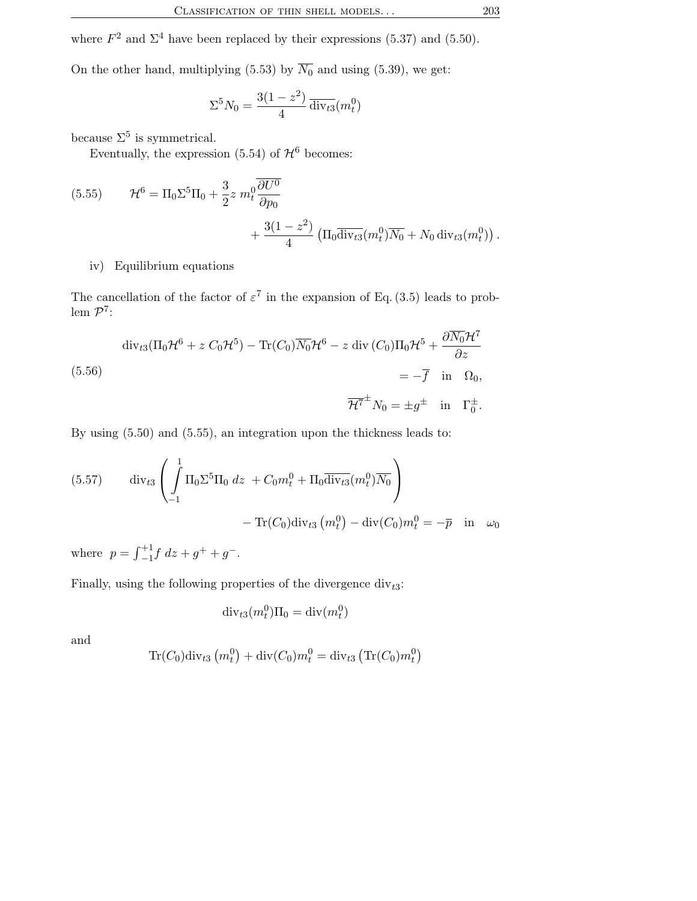where  $F^2$  and  $\Sigma^4$  have been replaced by their expressions (5.37) and (5.50).

On the other hand, multiplying (5.53) by  $\overline{N_0}$  and using (5.39), we get:

$$
\Sigma^{5} N_0 = \frac{3(1-z^2)}{4} \overline{\text{div}_{t3}}(m_t^0)
$$

because  $\Sigma^5$  is symmetrical.

Eventually, the expression (5.54) of  $\mathcal{H}^6$  becomes:

(5.55) 
$$
\mathcal{H}^{6} = \Pi_{0} \Sigma^{5} \Pi_{0} + \frac{3}{2} z m_{t}^{0} \frac{\partial U^{0}}{\partial p_{0}} + \frac{3(1 - z^{2})}{4} \left( \Pi_{0} \overline{\text{div}_{t3}}(m_{t}^{0}) \overline{N_{0}} + N_{0} \operatorname{div}_{t3}(m_{t}^{0}) \right).
$$

# iv) Equilibrium equations

The cancellation of the factor of  $\varepsilon^7$  in the expansion of Eq. (3.5) leads to prob- $\text{lem } \mathcal{P}^7$ :

$$
\operatorname{div}_{t3}(\Pi_0 \mathcal{H}^6 + z C_0 \mathcal{H}^5) - \operatorname{Tr}(C_0) \overline{N_0} \mathcal{H}^6 - z \operatorname{div}(C_0) \Pi_0 \mathcal{H}^5 + \frac{\partial \overline{N_0} \mathcal{H}^7}{\partial z}
$$
  
(5.56)  

$$
= -\overline{f} \quad \text{in} \quad \Omega_0,
$$

$$
\overline{\mathcal{H}^7}^{\pm} N_0 = \pm g^{\pm} \quad \text{in} \quad \Gamma_0^{\pm}.
$$

By using (5.50) and (5.55), an integration upon the thickness leads to:

(5.57) 
$$
\text{div}_{t3}\left(\int_{-1}^{1} \Pi_{0} \Sigma^{5} \Pi_{0} \, dz \, + C_{0} m_{t}^{0} + \Pi_{0} \overline{\text{div}_{t3}}(m_{t}^{0}) \overline{N_{0}}\right) - \text{Tr}(C_{0}) \text{div}_{t3}\left(m_{t}^{0}\right) - \text{div}(C_{0}) m_{t}^{0} = -\overline{p} \quad \text{in} \quad \omega_{0}
$$

where  $p = \int_{-1}^{+1} f \, dz + g^+ + g^-$ .

Finally, using the following properties of the divergence  $div_{t3}$ :

$$
\mathrm{div}_{t3}(m_t^0)\Pi_0 = \mathrm{div}(m_t^0)
$$

and

$$
\text{Tr}(C_0)\text{div}_{t3}\left(m_t^0\right) + \text{div}(C_0)m_t^0 = \text{div}_{t3}\left(\text{Tr}(C_0)m_t^0\right)
$$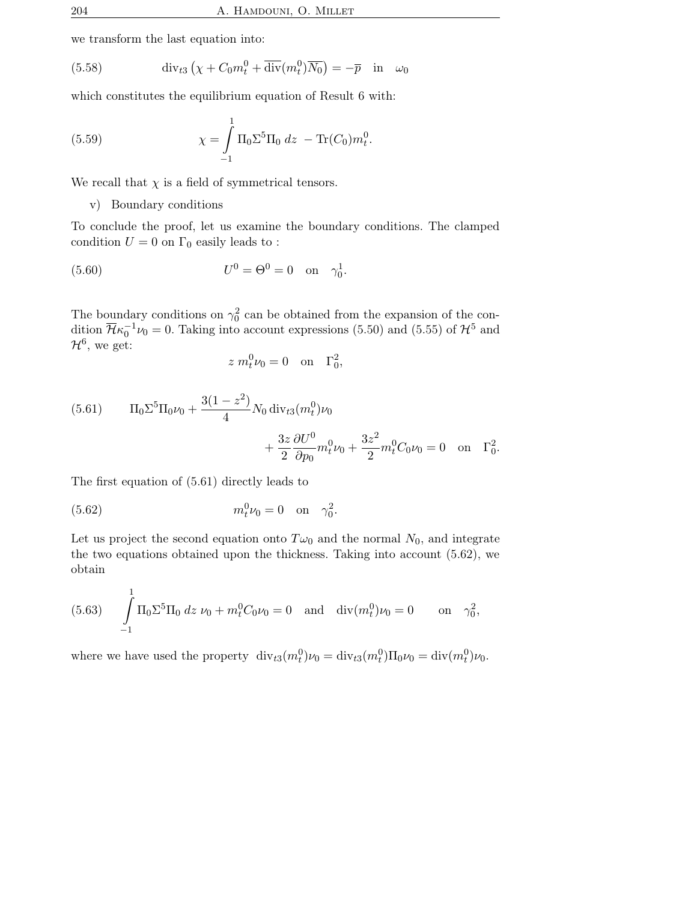we transform the last equation into:

(5.58) 
$$
\operatorname{div}_{t3}\left(\chi + C_0 m_t^0 + \overline{\operatorname{div}}(m_t^0)\overline{N_0}\right) = -\overline{p} \quad \text{in} \quad \omega_0
$$

which constitutes the equilibrium equation of Result 6 with:

(5.59) 
$$
\chi = \int_{-1}^{1} \Pi_0 \Sigma^5 \Pi_0 \, dz - \text{Tr}(C_0) m_t^0.
$$

We recall that  $\chi$  is a field of symmetrical tensors.

v) Boundary conditions

To conclude the proof, let us examine the boundary conditions. The clamped condition  $U = 0$  on  $\Gamma_0$  easily leads to :

(5.60) 
$$
U^0 = \Theta^0 = 0
$$
 on  $\gamma_0^1$ .

The boundary conditions on  $\gamma_0^2$  can be obtained from the expansion of the condition  $\overline{\mathcal{H}}\kappa_0^{-1}\nu_0 = 0$ . Taking into account expressions (5.50) and (5.55) of  $\mathcal{H}^5$  and  $\mathcal{H}^6$ , we get:

$$
z m_t^0 \nu_0 = 0 \quad \text{on} \quad \Gamma_0^2,
$$

(5.61) 
$$
\Pi_0 \Sigma^5 \Pi_0 \nu_0 + \frac{3(1-z^2)}{4} N_0 \operatorname{div}_{t3}(m_t^0) \nu_0 + \frac{3z}{2} \frac{\partial U^0}{\partial p_0} m_t^0 \nu_0 + \frac{3z^2}{2} m_t^0 C_0 \nu_0 = 0 \text{ on } \Gamma_0^2.
$$

The first equation of (5.61) directly leads to

(5.62) 
$$
m_t^0 \nu_0 = 0 \text{ on } \gamma_0^2.
$$

Let us project the second equation onto  $T\omega_0$  and the normal  $N_0$ , and integrate the two equations obtained upon the thickness. Taking into account (5.62), we obtain

(5.63) 
$$
\int_{-1}^{1} \Pi_0 \Sigma^5 \Pi_0 dz \, \nu_0 + m_t^0 C_0 \nu_0 = 0 \quad \text{and} \quad \text{div}(m_t^0) \nu_0 = 0 \quad \text{on} \quad \gamma_0^2,
$$

where we have used the property  $\operatorname{div}_{t3}(m_t^0)\nu_0 = \operatorname{div}_{t3}(m_t^0)\Pi_0\nu_0 = \operatorname{div}(m_t^0)\nu_0$ .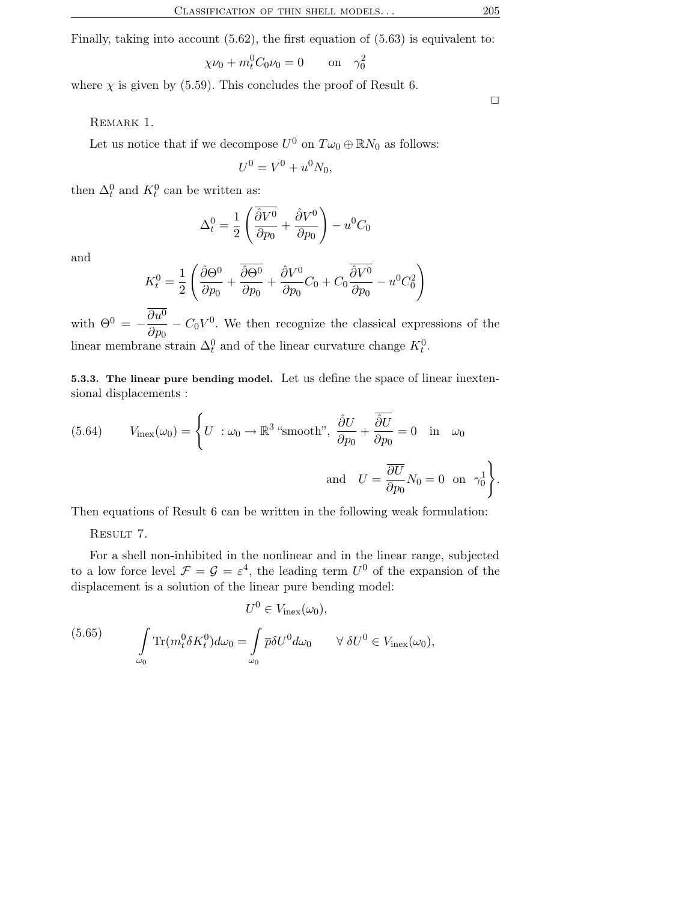Finally, taking into account (5.62), the first equation of (5.63) is equivalent to:

$$
\chi \nu_0 + m_t^0 C_0 \nu_0 = 0 \quad \text{on} \quad \gamma_0^2
$$

where  $\chi$  is given by (5.59). This concludes the proof of Result 6.

REMARK 1.

Let us notice that if we decompose  $U^0$  on  $T\omega_0 \oplus \mathbb{R}N_0$  as follows:

$$
U^0 = V^0 + u^0 N_0,
$$

then  $\Delta_t^0$  and  $K_t^0$  can be written as:

$$
\Delta_t^0 = \frac{1}{2} \left( \frac{\overline{\partial} V^0}{\partial p_0} + \frac{\hat{\partial} V^0}{\partial p_0} \right) - u^0 C_0
$$

and

$$
K_t^0 = \frac{1}{2} \left( \frac{\partial \Theta^0}{\partial p_0} + \frac{\overline{\partial} \Theta^0}{\partial p_0} + \frac{\partial V^0}{\partial p_0} C_0 + C_0 \frac{\overline{\partial} V^0}{\partial p_0} - u^0 C_0^2 \right)
$$

with  $\Theta^0 = -\frac{\partial u^0}{\partial x^0}$  $\frac{\partial u}{\partial p_0} - C_0 V^0$ . We then recognize the classical expressions of the linear membrane strain  $\Delta_t^0$  and of the linear curvature change  $K_t^0$ .

5.3.3. The linear pure bending model. Let us define the space of linear inextensional displacements :

(5.64) 
$$
V_{\text{inex}}(\omega_0) = \left\{ U : \omega_0 \to \mathbb{R}^3 \text{ "smooth", } \frac{\partial U}{\partial p_0} + \frac{\overline{\partial} U}{\partial p_0} = 0 \text{ in } \omega_0 \right\}
$$
  
and 
$$
U = \frac{\overline{\partial} U}{\partial p_0} N_0 = 0 \text{ on } \gamma_0^1 \right\}
$$

Then equations of Result 6 can be written in the following weak formulation:

RESULT 7.

For a shell non-inhibited in the nonlinear and in the linear range, subjected to a low force level  $\mathcal{F} = \mathcal{G} = \varepsilon^4$ , the leading term  $U^0$  of the expansion of the displacement is a solution of the linear pure bending model:

(5.65) 
$$
U^{0} \in V_{\text{inex}}(\omega_{0}),
$$

$$
\int_{\omega_{0}} \text{Tr}(m_{t}^{0} \delta K_{t}^{0}) d\omega_{0} = \int_{\omega_{0}} \overline{p} \delta U^{0} d\omega_{0} \qquad \forall \ \delta U^{0} \in V_{\text{inex}}(\omega_{0}),
$$

 $\Box$ 

.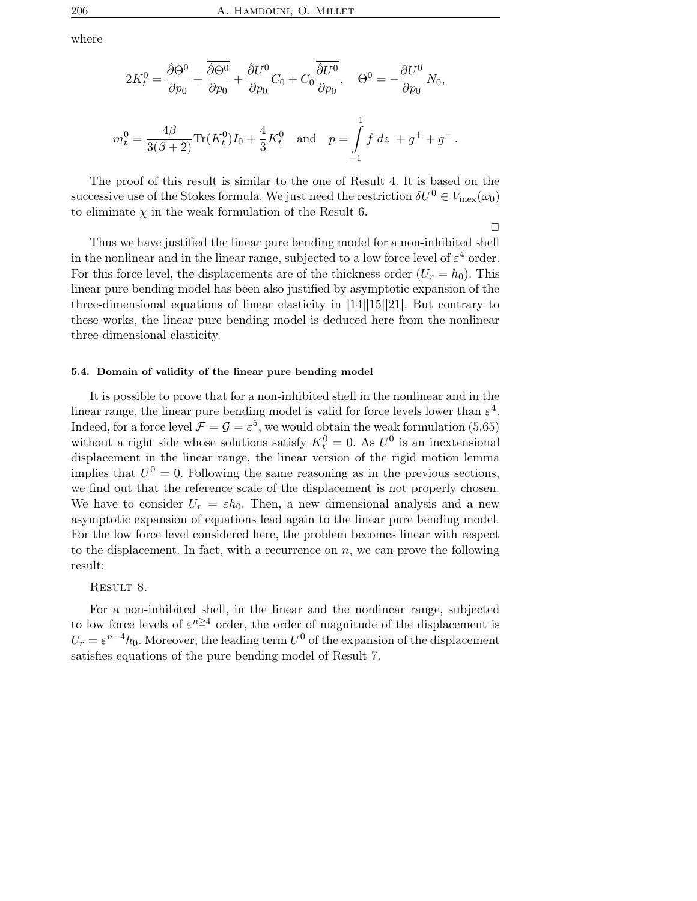$\gamma$ 

$$
2K_t^0 = \frac{\hat{\partial}\Theta^0}{\partial p_0} + \frac{\hat{\partial}\Theta^0}{\partial p_0} + \frac{\hat{\partial}U^0}{\partial p_0}C_0 + C_0\frac{\hat{\partial}U^0}{\partial p_0}, \quad \Theta^0 = -\frac{\overline{\partial}U^0}{\partial p_0}N_0,
$$
  

$$
n_t^0 = \frac{4\beta}{3(\beta+2)}\text{Tr}(K_t^0)I_0 + \frac{4}{3}K_t^0 \quad \text{and} \quad p = \int_{-1}^1 f \, dz + g^+ + g^-.
$$

The proof of this result is similar to the one of Result 4. It is based on the successive use of the Stokes formula. We just need the restriction  $\delta U^0 \in V_{\text{inex}}(\omega_0)$ to eliminate  $\chi$  in the weak formulation of the Result 6.

 $\Box$ 

Thus we have justified the linear pure bending model for a non-inhibited shell in the nonlinear and in the linear range, subjected to a low force level of  $\varepsilon^4$  order. For this force level, the displacements are of the thickness order  $(U_r = h_0)$ . This linear pure bending model has been also justified by asymptotic expansion of the three-dimensional equations of linear elasticity in [14][15][21]. But contrary to these works, the linear pure bending model is deduced here from the nonlinear three-dimensional elasticity.

#### 5.4. Domain of validity of the linear pure bending model

It is possible to prove that for a non-inhibited shell in the nonlinear and in the linear range, the linear pure bending model is valid for force levels lower than  $\varepsilon^4$ . Indeed, for a force level  $\mathcal{F} = \mathcal{G} = \varepsilon^5$ , we would obtain the weak formulation (5.65) without a right side whose solutions satisfy  $K_t^0 = 0$ . As  $U^0$  is an inextensional displacement in the linear range, the linear version of the rigid motion lemma implies that  $U^0 = 0$ . Following the same reasoning as in the previous sections, we find out that the reference scale of the displacement is not properly chosen. We have to consider  $U_r = \varepsilon h_0$ . Then, a new dimensional analysis and a new asymptotic expansion of equations lead again to the linear pure bending model. For the low force level considered here, the problem becomes linear with respect to the displacement. In fact, with a recurrence on  $n$ , we can prove the following result:

RESULT 8.

For a non-inhibited shell, in the linear and the nonlinear range, subjected to low force levels of  $\varepsilon^{n\geq 4}$  order, the order of magnitude of the displacement is  $U_r = \varepsilon^{n-4} h_0$ . Moreover, the leading term  $U^0$  of the expansion of the displacement satisfies equations of the pure bending model of Result 7.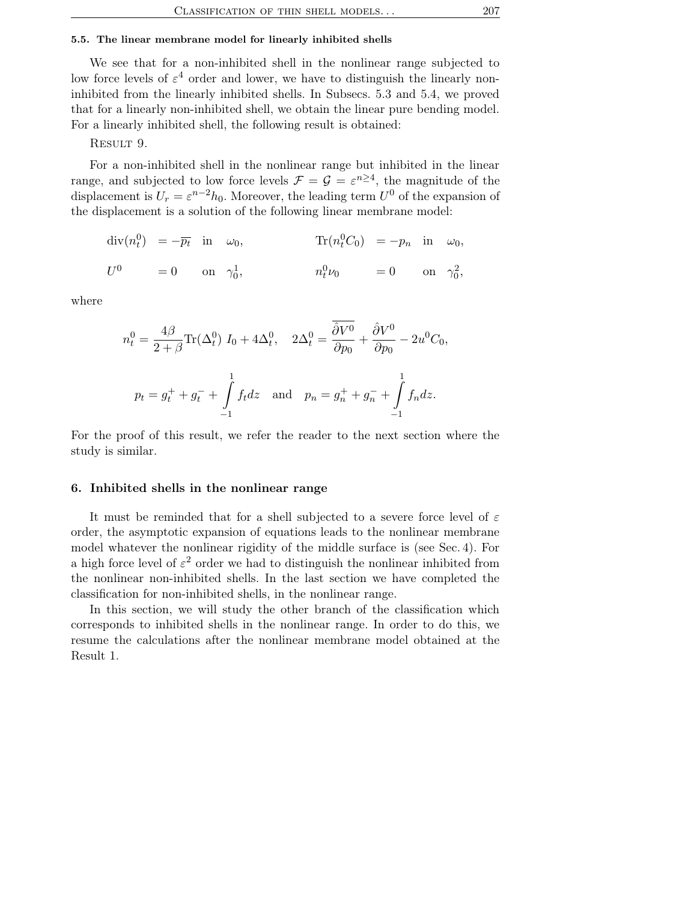### 5.5. The linear membrane model for linearly inhibited shells

We see that for a non-inhibited shell in the nonlinear range subjected to low force levels of  $\varepsilon^4$  order and lower, we have to distinguish the linearly noninhibited from the linearly inhibited shells. In Subsecs. 5.3 and 5.4, we proved that for a linearly non-inhibited shell, we obtain the linear pure bending model. For a linearly inhibited shell, the following result is obtained:

RESULT 9.

For a non-inhibited shell in the nonlinear range but inhibited in the linear range, and subjected to low force levels  $\mathcal{F} = \mathcal{G} = \varepsilon^{n \geq 4}$ , the magnitude of the displacement is  $U_r = \varepsilon^{n-2} h_0$ . Moreover, the leading term  $U^0$  of the expansion of the displacement is a solution of the following linear membrane model:

$$
\begin{aligned}\n\operatorname{div}(n_t^0) &= -\overline{p_t} \quad \text{in} \quad \omega_0, \\
U^0 &= 0 \quad \text{on} \quad \gamma_0^1, \\
\end{aligned}\n\qquad\n\begin{aligned}\n\operatorname{Tr}(n_t^0 C_0) &= -p_n \quad \text{in} \quad \omega_0, \\
n_t^0 \nu_0 &= 0 \quad \text{on} \quad \gamma_0^2,\n\end{aligned}
$$

where

$$
n_t^0 = \frac{4\beta}{2+\beta} \text{Tr}(\Delta_t^0) I_0 + 4\Delta_t^0, \quad 2\Delta_t^0 = \frac{\overline{\partial V^0}}{\partial p_0} + \frac{\hat{\partial V}^0}{\partial p_0} - 2u^0 C_0,
$$
  

$$
p_t = g_t^+ + g_t^- + \int_{-1}^1 f_t dz \quad \text{and} \quad p_n = g_n^+ + g_n^- + \int_{-1}^1 f_n dz.
$$

For the proof of this result, we refer the reader to the next section where the study is similar.

## 6. Inhibited shells in the nonlinear range

It must be reminded that for a shell subjected to a severe force level of  $\varepsilon$ order, the asymptotic expansion of equations leads to the nonlinear membrane model whatever the nonlinear rigidity of the middle surface is (see Sec. 4). For a high force level of  $\varepsilon^2$  order we had to distinguish the nonlinear inhibited from the nonlinear non-inhibited shells. In the last section we have completed the classification for non-inhibited shells, in the nonlinear range.

In this section, we will study the other branch of the classification which corresponds to inhibited shells in the nonlinear range. In order to do this, we resume the calculations after the nonlinear membrane model obtained at the Result 1.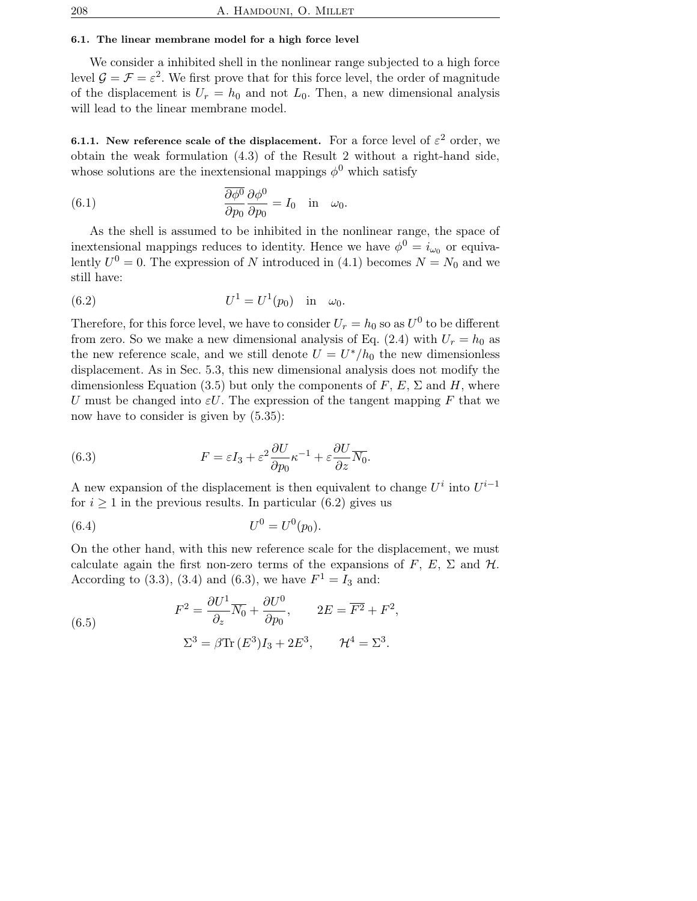### 6.1. The linear membrane model for a high force level

We consider a inhibited shell in the nonlinear range subjected to a high force level  $\mathcal{G} = \mathcal{F} = \varepsilon^2$ . We first prove that for this force level, the order of magnitude of the displacement is  $U_r = h_0$  and not  $L_0$ . Then, a new dimensional analysis will lead to the linear membrane model.

6.1.1. New reference scale of the displacement. For a force level of  $\varepsilon^2$  order, we obtain the weak formulation (4.3) of the Result 2 without a right-hand side, whose solutions are the inextensional mappings  $\phi^0$  which satisfy

(6.1) 
$$
\frac{\partial \phi^0}{\partial p_0} \frac{\partial \phi^0}{\partial p_0} = I_0 \text{ in } \omega_0.
$$

As the shell is assumed to be inhibited in the nonlinear range, the space of inextensional mappings reduces to identity. Hence we have  $\phi^0 = i_{\omega_0}$  or equivalently  $U^0 = 0$ . The expression of N introduced in (4.1) becomes  $N = N_0$  and we still have:

(6.2) 
$$
U^1 = U^1(p_0)
$$
 in  $\omega_0$ .

Therefore, for this force level, we have to consider  $U_r = h_0$  so as  $U^0$  to be different from zero. So we make a new dimensional analysis of Eq. (2.4) with  $U_r = h_0$  as the new reference scale, and we still denote  $U = U^*/h_0$  the new dimensionless displacement. As in Sec. 5.3, this new dimensional analysis does not modify the dimensionless Equation (3.5) but only the components of F, E,  $\Sigma$  and H, where U must be changed into  $\varepsilon U$ . The expression of the tangent mapping F that we now have to consider is given by (5.35):

(6.3) 
$$
F = \varepsilon I_3 + \varepsilon^2 \frac{\partial U}{\partial p_0} \kappa^{-1} + \varepsilon \frac{\partial U}{\partial z} \overline{N_0}.
$$

A new expansion of the displacement is then equivalent to change  $U^i$  into  $U^{i-1}$ for  $i \geq 1$  in the previous results. In particular (6.2) gives us

(6.4) 
$$
U^0 = U^0(p_0).
$$

On the other hand, with this new reference scale for the displacement, we must calculate again the first non-zero terms of the expansions of F, E,  $\Sigma$  and H. According to (3.3), (3.4) and (6.3), we have  $F^1 = I_3$  and:

(6.5) 
$$
F^2 = \frac{\partial U^1}{\partial_z} \overline{N_0} + \frac{\partial U^0}{\partial p_0}, \qquad 2E = \overline{F^2} + F^2,
$$

$$
\Sigma^3 = \beta \text{Tr}(E^3)I_3 + 2E^3, \qquad \mathcal{H}^4 = \Sigma^3.
$$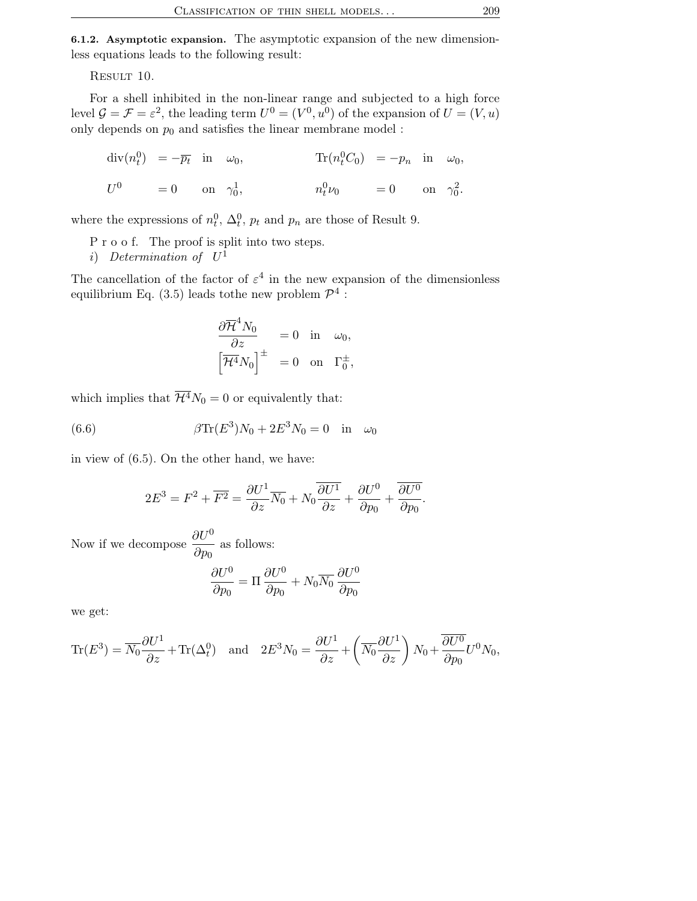6.1.2. Asymptotic expansion. The asymptotic expansion of the new dimensionless equations leads to the following result:

RESULT 10.

For a shell inhibited in the non-linear range and subjected to a high force level  $\mathcal{G} = \mathcal{F} = \varepsilon^2$ , the leading term  $U^0 = (V^0, u^0)$  of the expansion of  $U = (V, u)$ only depends on  $p_0$  and satisfies the linear membrane model :

 $\text{div}(n_t^0) = -\overline{p_t} \quad \text{in} \quad \omega_0,$   $\text{Tr}(n_t)$  ${}_{t}^{0}C_{0}$  =  $-p_{n}$  in  $\omega_{0}$ ,  $U^0 = 0$  on  $\gamma_0^1$ ,  $n_t^0 \nu_0 = 0$  on  $\gamma_0^2$ .

where the expressions of  $n_t^0$ ,  $\Delta_t^0$ ,  $p_t$  and  $p_n$  are those of Result 9.

- P r o o f. The proof is split into two steps.
- i) Determination of  $U^1$

The cancellation of the factor of  $\varepsilon^4$  in the new expansion of the dimensionless equilibrium Eq. (3.5) leads to the new problem  $\mathcal{P}^4$  :

$$
\frac{\partial \overline{\mathcal{H}}^4 N_0}{\partial z} = 0 \text{ in } \omega_0,
$$
  

$$
\left[ \overline{\mathcal{H}}^4 N_0 \right]^{\pm} = 0 \text{ on } \Gamma_0^{\pm},
$$

which implies that  $\overline{\mathcal{H}^4}N_0 = 0$  or equivalently that:

(6.6) 
$$
\beta \text{Tr}(E^3) N_0 + 2E^3 N_0 = 0 \text{ in } \omega_0
$$

in view of (6.5). On the other hand, we have:

$$
2E^3 = F^2 + \overline{F^2} = \frac{\partial U^1}{\partial z} \overline{N_0} + N_0 \overline{\frac{\partial U^1}{\partial z}} + \frac{\partial U^0}{\partial p_0} + \overline{\frac{\partial U^0}{\partial p_0}}.
$$

Now if we decompose  $\frac{\partial U^0}{\partial \theta}$  $rac{\partial \mathcal{D}}{\partial p_0}$  as follows:

$$
\frac{\partial U^0}{\partial p_0} = \Pi \frac{\partial U^0}{\partial p_0} + N_0 \overline{N_0} \frac{\partial U^0}{\partial p_0}
$$

we get:

$$
\operatorname{Tr}(E^3) = \overline{N_0} \frac{\partial U^1}{\partial z} + \operatorname{Tr}(\Delta_t^0) \quad \text{and} \quad 2E^3 N_0 = \frac{\partial U^1}{\partial z} + \left( \overline{N_0} \frac{\partial U^1}{\partial z} \right) N_0 + \frac{\overline{\partial U^0}}{\partial p_0} U^0 N_0,
$$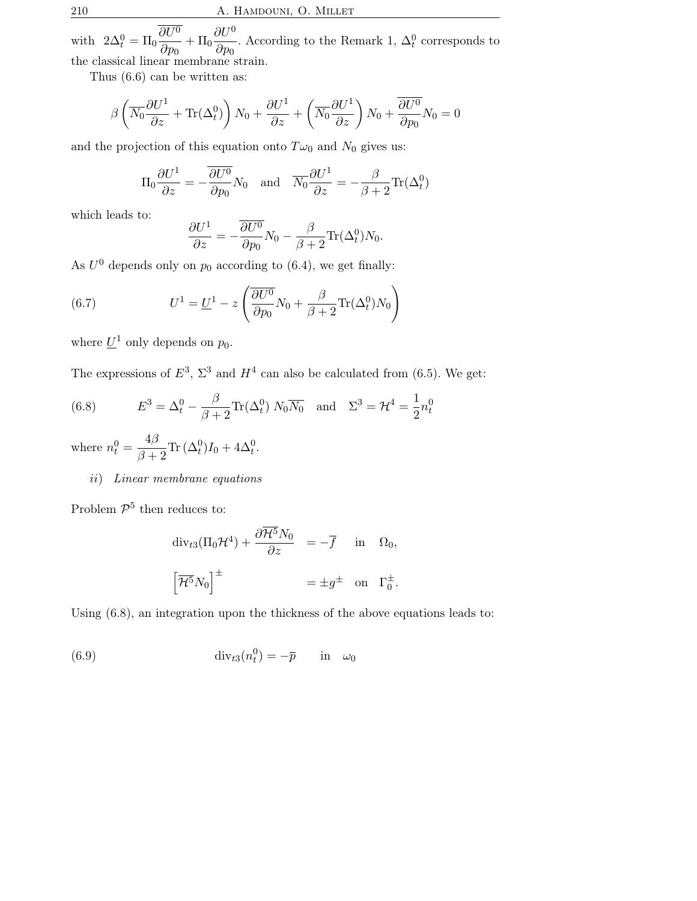with  $2\Delta_t^0 = \Pi_0$  $\partial U^0$  $\overline{\frac{\partial U^0}{\partial p_0}} + \Pi_0 \frac{\partial U^0}{\partial p_0}$  $\partial p_0$ . According to the Remark 1,  $\Delta_t^0$  corresponds to the classical linear membrane strain.

Thus (6.6) can be written as:

$$
\beta \left( \overline{N_0} \frac{\partial U^1}{\partial z} + \text{Tr}(\Delta_t^0) \right) N_0 + \frac{\partial U^1}{\partial z} + \left( \overline{N_0} \frac{\partial U^1}{\partial z} \right) N_0 + \overline{\frac{\partial U^0}{\partial p_0}} N_0 = 0
$$

and the projection of this equation onto  $T\omega_0$  and  $N_0$  gives us:

$$
\Pi_0 \frac{\partial U^1}{\partial z} = -\frac{\overline{\partial U^0}}{\partial p_0} N_0 \quad \text{and} \quad \overline{N_0} \frac{\partial U^1}{\partial z} = -\frac{\beta}{\beta + 2} \text{Tr}(\Delta_t^0)
$$

which leads to:

$$
\frac{\partial U^1}{\partial z} = -\frac{\overline{\partial U^0}}{\partial p_0} N_0 - \frac{\beta}{\beta + 2} \text{Tr}(\Delta_t^0) N_0.
$$

As  $U^0$  depends only on  $p_0$  according to (6.4), we get finally:

(6.7) 
$$
U^{1} = \underline{U}^{1} - z \left( \frac{\partial U^{0}}{\partial p_{0}} N_{0} + \frac{\beta}{\beta + 2} \text{Tr}(\Delta_{t}^{0}) N_{0} \right)
$$

where  $\underline{U}^1$  only depends on  $p_0$ .

The expressions of  $E^3$ ,  $\Sigma^3$  and  $H^4$  can also be calculated from (6.5). We get:

(6.8) 
$$
E^3 = \Delta_t^0 - \frac{\beta}{\beta + 2} \text{Tr}(\Delta_t^0) N_0 \overline{N_0} \text{ and } \Sigma^3 = \mathcal{H}^4 = \frac{1}{2} n_t^0
$$

where  $n_t^0 = \frac{4\beta}{\beta}$  $\frac{4\rho}{\beta+2} \text{Tr}\left(\Delta_t^0\right) I_0 + 4\Delta_t^0.$ 

# ii) Linear membrane equations

Problem  $\mathcal{P}^5$  then reduces to:

$$
\begin{aligned}\n\operatorname{div}_{t3}(\Pi_0 \mathcal{H}^4) + \frac{\partial \overline{\mathcal{H}}^5 N_0}{\partial z} &= -\overline{f} \quad \text{in} \quad \Omega_0, \\
\left[\overline{\mathcal{H}}^5 N_0\right]^{\pm} &= \pm g^{\pm} \quad \text{on} \quad \Gamma_0^{\pm}.\n\end{aligned}
$$

Using (6.8), an integration upon the thickness of the above equations leads to:

(6.9) 
$$
\operatorname{div}_{t3}(n_t^0) = -\overline{p} \quad \text{in} \quad \omega_0
$$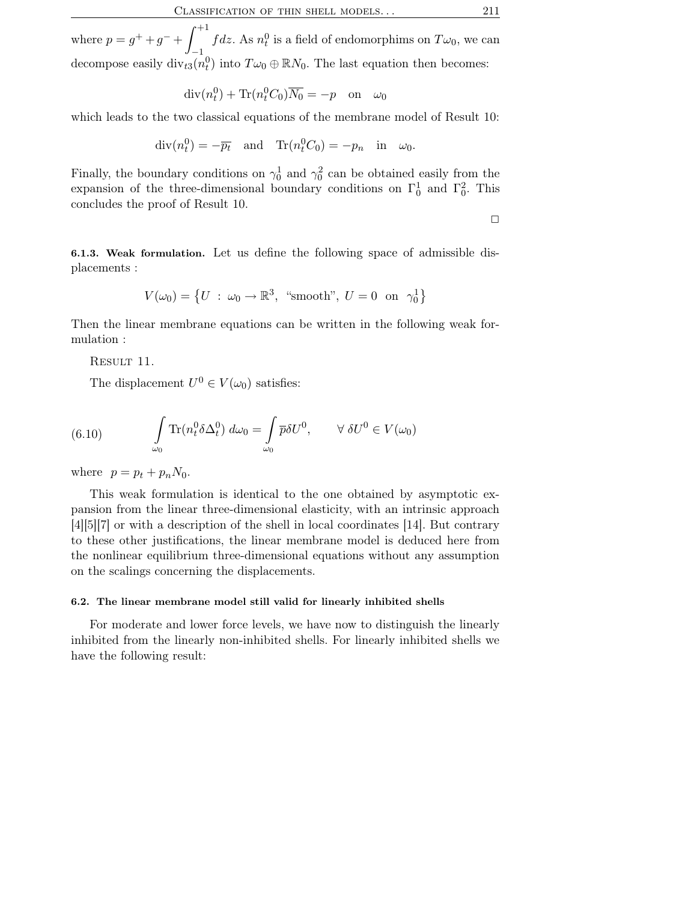where  $p = g^{+} + g^{-} + \int^{+1}$ −1  $fdz$ . As  $n_t^0$  is a field of endomorphims on  $T\omega_0$ , we can decompose easily  $\text{div}_{t3}(n_t^0)$  into  $T\omega_0 \oplus \mathbb{R}N_0$ . The last equation then becomes:

$$
\operatorname{div}(n_t^0) + \operatorname{Tr}(n_t^0 C_0) \overline{N_0} = -p \quad \text{on} \quad \omega_0
$$

which leads to the two classical equations of the membrane model of Result 10:

$$
\operatorname{div}(n_t^0) = -\overline{p_t} \quad \text{and} \quad \operatorname{Tr}(n_t^0 C_0) = -p_n \quad \text{in} \quad \omega_0.
$$

Finally, the boundary conditions on  $\gamma_0^1$  and  $\gamma_0^2$  can be obtained easily from the expansion of the three-dimensional boundary conditions on  $\Gamma_0^1$  and  $\Gamma_0^2$ . This concludes the proof of Result 10.

 $\Box$ 

6.1.3. Weak formulation. Let us define the following space of admissible displacements :

$$
V(\omega_0) = \left\{ U \; : \; \omega_0 \to \mathbb{R}^3, \; \text{``smooth''}, \; U = 0 \; \text{ on } \; \gamma_0^1 \right\}
$$

Then the linear membrane equations can be written in the following weak formulation :

RESULT 11.

The displacement  $U^0 \in V(\omega_0)$  satisfies:

(6.10) 
$$
\int_{\omega_0} \text{Tr}(n_t^0 \delta \Delta_t^0) d\omega_0 = \int_{\omega_0} \overline{p} \delta U^0, \qquad \forall \delta U^0 \in V(\omega_0)
$$

where  $p = p_t + p_n N_0$ .

This weak formulation is identical to the one obtained by asymptotic expansion from the linear three-dimensional elasticity, with an intrinsic approach [4][5][7] or with a description of the shell in local coordinates [14]. But contrary to these other justifications, the linear membrane model is deduced here from the nonlinear equilibrium three-dimensional equations without any assumption on the scalings concerning the displacements.

### 6.2. The linear membrane model still valid for linearly inhibited shells

For moderate and lower force levels, we have now to distinguish the linearly inhibited from the linearly non-inhibited shells. For linearly inhibited shells we have the following result: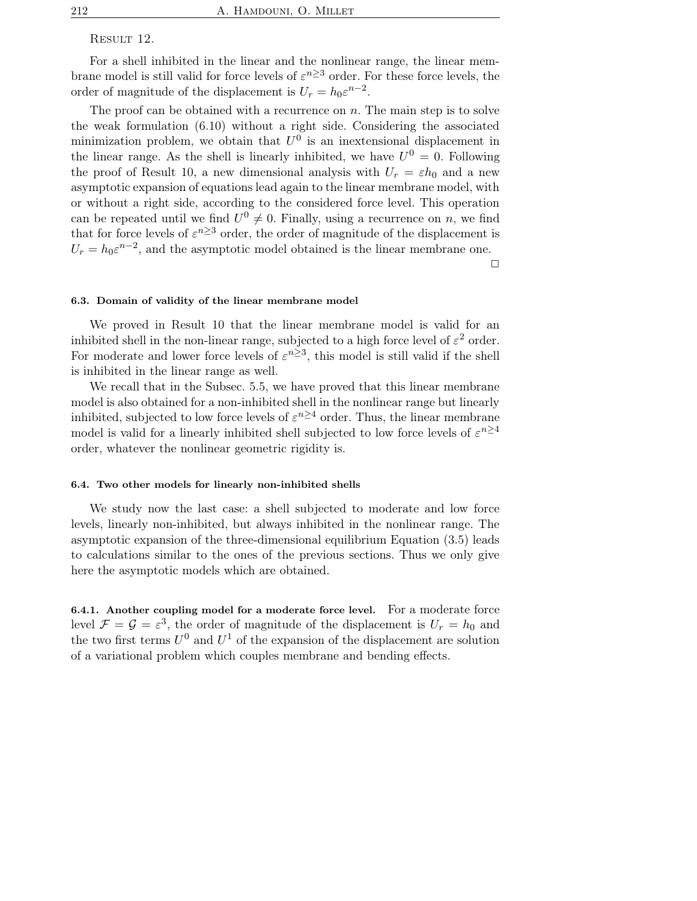RESULT 12.

For a shell inhibited in the linear and the nonlinear range, the linear membrane model is still valid for force levels of  $\varepsilon^{n\geq3}$  order. For these force levels, the order of magnitude of the displacement is  $U_r = h_0 \varepsilon^{n-2}$ .

The proof can be obtained with a recurrence on  $n$ . The main step is to solve the weak formulation (6.10) without a right side. Considering the associated minimization problem, we obtain that  $U^0$  is an inextensional displacement in the linear range. As the shell is linearly inhibited, we have  $U^0 = 0$ . Following the proof of Result 10, a new dimensional analysis with  $U_r = \varepsilon h_0$  and a new asymptotic expansion of equations lead again to the linear membrane model, with or without a right side, according to the considered force level. This operation can be repeated until we find  $U^0 \neq 0$ . Finally, using a recurrence on n, we find that for force levels of  $\varepsilon^{n\geq3}$  order, the order of magnitude of the displacement is  $U_r = h_0 \varepsilon^{n-2}$ , and the asymptotic model obtained is the linear membrane one.

 $\Box$ 

#### 6.3. Domain of validity of the linear membrane model

We proved in Result 10 that the linear membrane model is valid for an inhibited shell in the non-linear range, subjected to a high force level of  $\varepsilon^2$  order. For moderate and lower force levels of  $\varepsilon^{n\geq3}$ , this model is still valid if the shell is inhibited in the linear range as well.

We recall that in the Subsec. 5.5, we have proved that this linear membrane model is also obtained for a non-inhibited shell in the nonlinear range but linearly inhibited, subjected to low force levels of  $\varepsilon^{n\geq 4}$  order. Thus, the linear membrane model is valid for a linearly inhibited shell subjected to low force levels of  $\varepsilon^{n\geq 4}$ order, whatever the nonlinear geometric rigidity is.

#### 6.4. Two other models for linearly non-inhibited shells

We study now the last case: a shell subjected to moderate and low force levels, linearly non-inhibited, but always inhibited in the nonlinear range. The asymptotic expansion of the three-dimensional equilibrium Equation (3.5) leads to calculations similar to the ones of the previous sections. Thus we only give here the asymptotic models which are obtained.

6.4.1. Another coupling model for a moderate force level. For a moderate force level  $\mathcal{F} = \mathcal{G} = \varepsilon^3$ , the order of magnitude of the displacement is  $U_r = h_0$  and the two first terms  $U^0$  and  $U^1$  of the expansion of the displacement are solution of a variational problem which couples membrane and bending effects.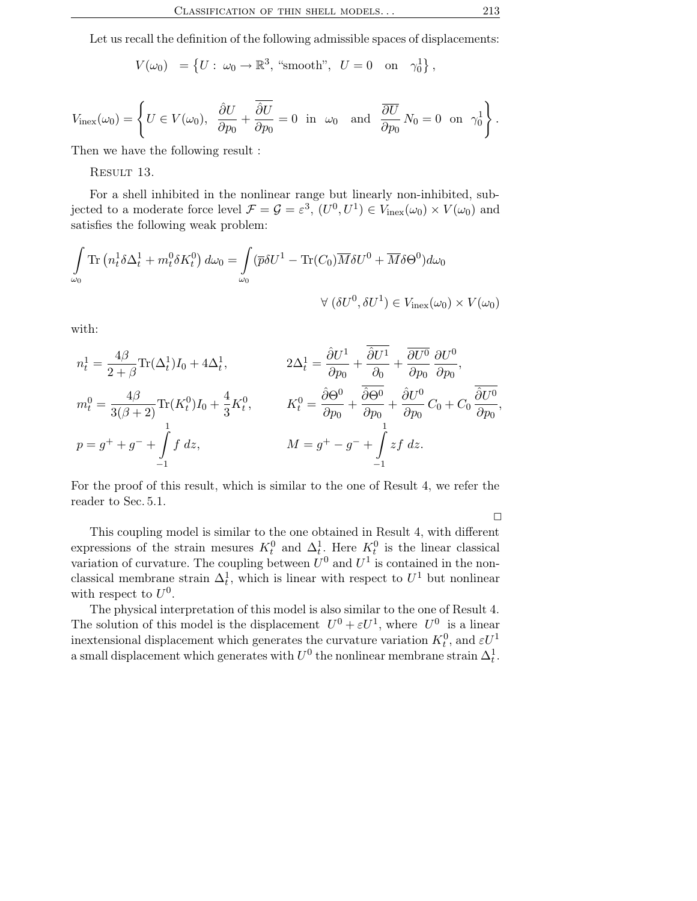Let us recall the definition of the following admissible spaces of displacements:

 $V(\omega_0) = \left\{ U : \omega_0 \to \mathbb{R}^3, \text{ "smooth", } U = 0 \text{ on } \gamma_0^1 \right\},$ 

$$
V_{\text{inex}}(\omega_0) = \left\{ U \in V(\omega_0), \ \frac{\partial U}{\partial p_0} + \frac{\overline{\partial U}}{\partial p_0} = 0 \text{ in } \omega_0 \text{ and } \frac{\overline{\partial U}}{\partial p_0} N_0 = 0 \text{ on } \gamma_0^1 \right\}.
$$

Then we have the following result :

RESULT 13.

For a shell inhibited in the nonlinear range but linearly non-inhibited, subjected to a moderate force level  $\mathcal{F} = \mathcal{G} = \varepsilon^3$ ,  $(U^0, U^1) \in V_{\text{inex}}(\omega_0) \times V(\omega_0)$  and satisfies the following weak problem:

$$
\int_{\omega_0} \text{Tr} \left( n_t^1 \delta \Delta_t^1 + m_t^0 \delta K_t^0 \right) d\omega_0 = \int_{\omega_0} (\overline{p} \delta U^1 - \text{Tr}(C_0) \overline{M} \delta U^0 + \overline{M} \delta \Theta^0) d\omega_0
$$
  

$$
\forall \left( \delta U^0, \delta U^1 \right) \in V_{\text{inex}}(\omega_0) \times V(\omega_0)
$$

with:

$$
n_t^1 = \frac{4\beta}{2+\beta} \text{Tr}(\Delta_t^1) I_0 + 4\Delta_t^1, \qquad 2\Delta_t^1 = \frac{\hat{\partial}U^1}{\partial p_0} + \frac{\overline{\hat{\partial}U^1}}{\partial p_0} + \frac{\overline{\partial}U^0}{\partial p_0} \frac{\partial U^0}{\partial p_0},
$$
  
\n
$$
m_t^0 = \frac{4\beta}{3(\beta+2)} \text{Tr}(K_t^0) I_0 + \frac{4}{3} K_t^0, \qquad K_t^0 = \frac{\hat{\partial}\Theta^0}{\partial p_0} + \frac{\hat{\partial}\Theta^0}{\partial p_0} + \frac{\hat{\partial}U^0}{\partial p_0} C_0 + C_0 \frac{\overline{\hat{\partial}U^0}}{\partial p_0},
$$
  
\n
$$
p = g^+ + g^- + \int_{-1}^1 f \, dz, \qquad M = g^+ - g^- + \int_{-1}^1 z f \, dz.
$$

For the proof of this result, which is similar to the one of Result 4, we refer the reader to Sec. 5.1.

 $\Box$ 

This coupling model is similar to the one obtained in Result 4, with different expressions of the strain mesures  $K_t^0$  and  $\Delta_t^1$ . Here  $K_t^0$  is the linear classical variation of curvature. The coupling between  $U^0$  and  $U^1$  is contained in the nonclassical membrane strain  $\Delta_t^1$ , which is linear with respect to  $U^1$  but nonlinear with respect to  $U^0$ .

The physical interpretation of this model is also similar to the one of Result 4. The solution of this model is the displacement  $U^0 + \varepsilon U^1$ , where  $U^0$  is a linear inextensional displacement which generates the curvature variation  $K_t^0$ , and  $\varepsilon U^1$ a small displacement which generates with  $U^0$  the nonlinear membrane strain  $\Delta_t^1$ .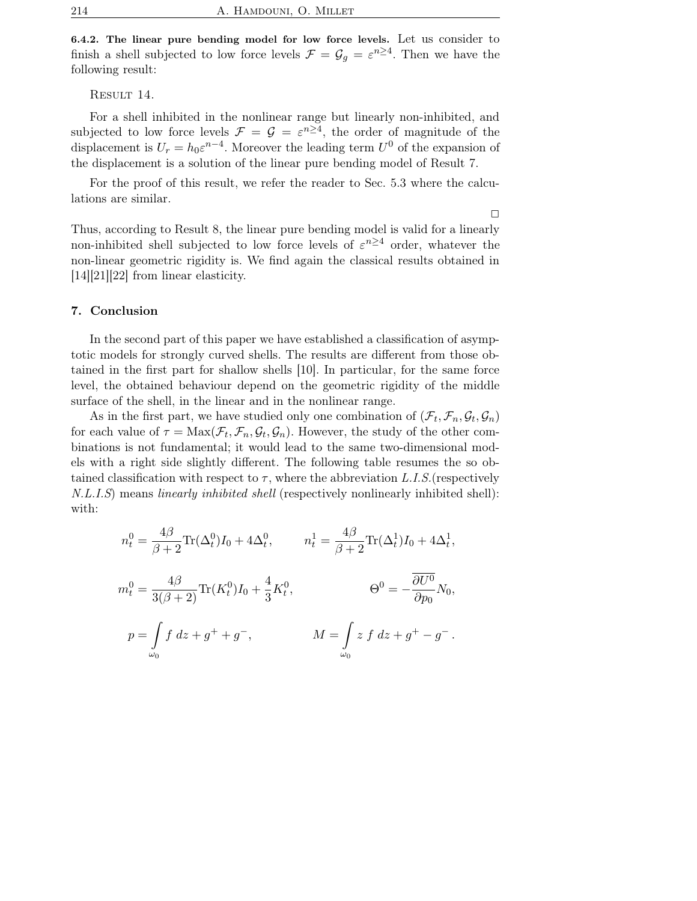6.4.2. The linear pure bending model for low force levels. Let us consider to finish a shell subjected to low force levels  $\mathcal{F} = \mathcal{G}_g = \varepsilon^{n \geq 4}$ . Then we have the following result:

### RESULT 14.

For a shell inhibited in the nonlinear range but linearly non-inhibited, and subjected to low force levels  $\mathcal{F} = \mathcal{G} = \varepsilon^{n \geq 4}$ , the order of magnitude of the displacement is  $U_r = h_0 \varepsilon^{n-4}$ . Moreover the leading term  $U^0$  of the expansion of the displacement is a solution of the linear pure bending model of Result 7.

For the proof of this result, we refer the reader to Sec. 5.3 where the calculations are similar.

 $\Box$ 

Thus, according to Result 8, the linear pure bending model is valid for a linearly non-inhibited shell subjected to low force levels of  $\varepsilon^{n\geq 4}$  order, whatever the non-linear geometric rigidity is. We find again the classical results obtained in [14][21][22] from linear elasticity.

### 7. Conclusion

In the second part of this paper we have established a classification of asymptotic models for strongly curved shells. The results are different from those obtained in the first part for shallow shells [10]. In particular, for the same force level, the obtained behaviour depend on the geometric rigidity of the middle surface of the shell, in the linear and in the nonlinear range.

As in the first part, we have studied only one combination of  $(\mathcal{F}_t, \mathcal{F}_n, \mathcal{G}_t, \mathcal{G}_n)$ for each value of  $\tau = \text{Max}(\mathcal{F}_t, \mathcal{F}_n, \mathcal{G}_t, \mathcal{G}_n)$ . However, the study of the other combinations is not fundamental; it would lead to the same two-dimensional models with a right side slightly different. The following table resumes the so obtained classification with respect to  $\tau$ , where the abbreviation L.I.S. (respectively N.L.I.S) means linearly inhibited shell (respectively nonlinearly inhibited shell): with:

$$
n_t^0 = \frac{4\beta}{\beta + 2} \text{Tr}(\Delta_t^0) I_0 + 4\Delta_t^0, \qquad n_t^1 = \frac{4\beta}{\beta + 2} \text{Tr}(\Delta_t^1) I_0 + 4\Delta_t^1,
$$
  

$$
m_t^0 = \frac{4\beta}{3(\beta + 2)} \text{Tr}(K_t^0) I_0 + \frac{4}{3} K_t^0, \qquad \Theta^0 = -\frac{\overline{\partial U^0}}{\partial p_0} N_0,
$$
  

$$
p = \int_{\omega_0} f \, dz + g^+ + g^-, \qquad M = \int_{\omega_0} z \, f \, dz + g^+ - g^-.
$$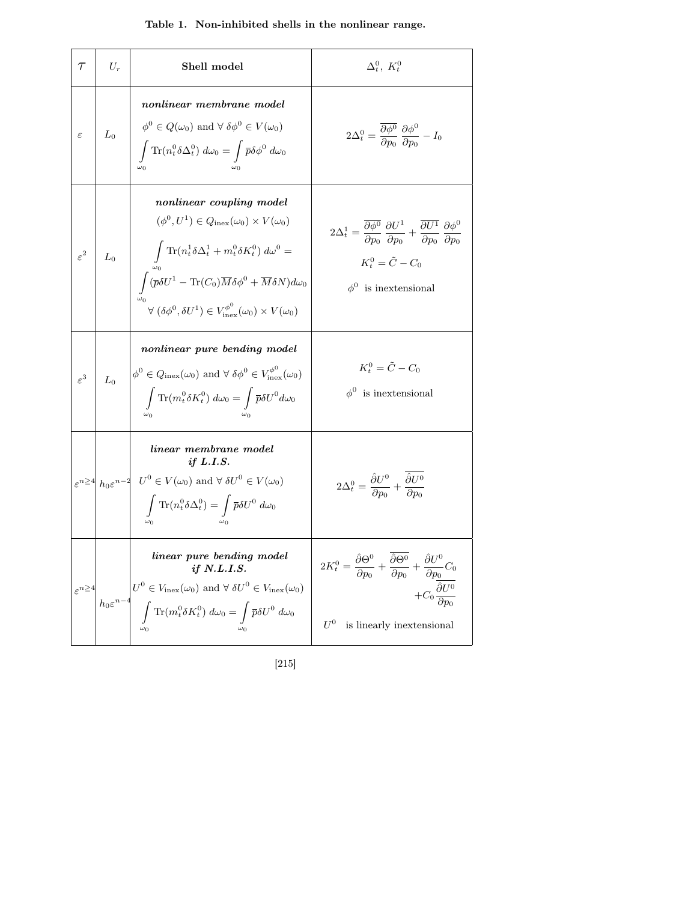## Table 1. Non-inhibited shells in the nonlinear range.

| $\tau$          | $U_r$                                             | Shell model                                                                                                                                                                                                                                                                                                                                                                                    | $\Delta_t^0$ , $K_t^0$                                                                                                                                                                                                                                        |
|-----------------|---------------------------------------------------|------------------------------------------------------------------------------------------------------------------------------------------------------------------------------------------------------------------------------------------------------------------------------------------------------------------------------------------------------------------------------------------------|---------------------------------------------------------------------------------------------------------------------------------------------------------------------------------------------------------------------------------------------------------------|
| $\varepsilon$   | $L_0$                                             | nonlinear membrane model<br>$\phi^0\in Q(\omega_0)$ and $\forall\,\delta\phi^0\in V(\omega_0)$<br>$\int \text{Tr}(n_t^0 \delta \Delta_t^0) \ d\omega_0 = \int \overline{p} \delta \phi^0 \ d\omega_0$                                                                                                                                                                                          | $2\Delta_t^0 = \frac{\partial \phi^0}{\partial p_0} \frac{\partial \phi^0}{\partial p_0} - I_0$                                                                                                                                                               |
| $\varepsilon^2$ | $L_0$                                             | nonlinear coupling model<br>$(\phi^0, U^1) \in Q_{\text{inex}}(\omega_0) \times V(\omega_0)$<br>$\int \text{Tr}(n_t^1 \delta \Delta_t^1 + m_t^0 \delta K_t^0) d\omega^0 =$<br>$\int (\overline{p}\delta U^1 - \text{Tr}(C_0) \overline{M} \delta \phi^0 + \overline{M} \delta N) d\omega_0$<br>$\forall (\delta \phi^0, \delta U^1) \in V_{\text{inex}}^{\phi^0}(\omega_0) \times V(\omega_0)$ | $2\Delta_t^1 = \frac{\overline{\partial \phi^0}}{\partial n_0} \frac{\partial U^1}{\partial n_0} + \frac{\overline{\partial U^1}}{\partial p_0} \frac{\partial \phi^0}{\partial p_0}$<br>$K_t^0 = \tilde{C} - C_0$<br>$\phi^0$ is inextensional               |
| $\varepsilon^3$ | $L_0$                                             | nonlinear pure bending model<br>$\phi^0 \in Q_{\text{inex}}(\omega_0)$ and $\forall \delta \phi^0 \in V_{\text{inex}}^{\phi^0}(\omega_0)$<br>$\int \text{Tr}(m_t^0 \delta K_t^0) d\omega_0 = \int \overline{p} \delta U^0 d\omega_0$                                                                                                                                                           | $K_t^0 = \tilde{C} - C_0$<br>$\phi^0$ is inextensional                                                                                                                                                                                                        |
|                 | $\varepsilon^{n\geq 4}\big  h_0\varepsilon^{n-2}$ | linear membrane model<br>if $L.I.S.$<br>$U^0 \in V(\omega_0)$ and $\forall \delta U^0 \in V(\omega_0)$<br>$\int \text{Tr}(n_t^0 \delta \Delta_t^0) = \int \overline{p} \delta U^0 d\omega_0$                                                                                                                                                                                                   | $2\Delta_t^0 = \frac{\partial U^0}{\partial p_0} + \frac{\partial U^0}{\partial p_0}$                                                                                                                                                                         |
|                 |                                                   | linear pure bending model<br>if $N.L.I.S.$<br>$\varepsilon^{n \geq 4}$<br>$h_0 \varepsilon^{n-4}$<br>$\int_{\omega_0}^{1} U^0 \in V_{\text{inex}}(\omega_0) \text{ and } \forall \delta U^0 \in V_{\text{inex}}(\omega_0)$<br>$\int_{\omega_0} \text{Tr}(m_t^0 \delta K_t^0) d\omega_0 = \int_{\omega_0} \overline{p} \delta U^0 d\omega_0$                                                    | $2K_t^0 = \frac{\hat{\partial}\Theta^0}{\partial p_0} + \frac{\overline{\hat{\partial}\Theta^0}}{\partial p_0} + \frac{\hat{\partial}U^0}{\partial p_0}C_0$<br>$+ C_0\frac{\overline{\hat{\partial}U^0}}{\partial p_0}$<br>$U^0$<br>is linearly inextensional |

[215]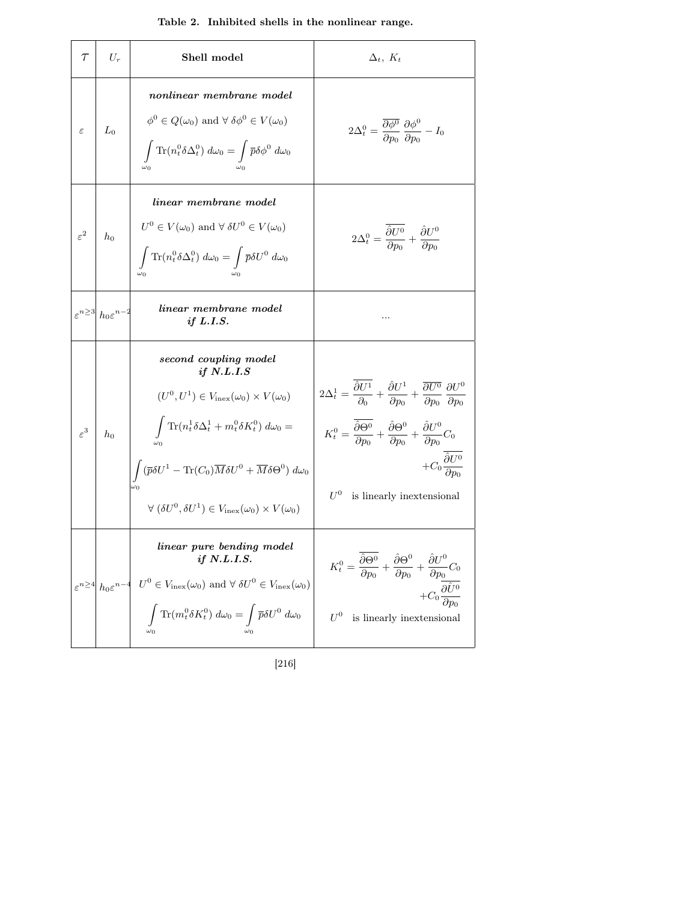| Table 2. Inhibited shells in the nonlinear range. |  |  |  |  |
|---------------------------------------------------|--|--|--|--|
|---------------------------------------------------|--|--|--|--|

| $\tau$          | $U_r$                                        | Shell model                                                                                                                                                                                                                                                                                                                                                                                        | $\Delta_t, K_t$                                                                                                                                                                                                                                                                                                                                                                                                          |
|-----------------|----------------------------------------------|----------------------------------------------------------------------------------------------------------------------------------------------------------------------------------------------------------------------------------------------------------------------------------------------------------------------------------------------------------------------------------------------------|--------------------------------------------------------------------------------------------------------------------------------------------------------------------------------------------------------------------------------------------------------------------------------------------------------------------------------------------------------------------------------------------------------------------------|
| $\varepsilon$   | $L_0$                                        | nonlinear membrane model<br>$\phi^0 \in Q(\omega_0)$ and $\forall \delta \phi^0 \in V(\omega_0)$<br>$\int \text{Tr}(n_t^0 \delta \Delta_t^0) d\omega_0 = \int \overline{p} \delta \phi^0 d\omega_0$                                                                                                                                                                                                | $2\Delta_t^0 = \frac{\overline{\partial \phi^0}}{\partial p_0} \frac{\partial \phi^0}{\partial p_0} - I_0$                                                                                                                                                                                                                                                                                                               |
| $\varepsilon^2$ | $h_0$                                        | linear membrane model<br>$U^0\in V(\omega_0)$ and $\forall\;\delta U^0\in V(\omega_0)$<br>$\int \text{Tr}(n_t^0 \delta \Delta_t^0) d\omega_0 = \int \overline{p} \delta U^0 d\omega_0$<br>$\omega_0$                                                                                                                                                                                               | $2\Delta_t^0 = \frac{\hat{\partial}U^0}{\partial p_0} + \frac{\hat{\partial}U^0}{\partial p_0}$                                                                                                                                                                                                                                                                                                                          |
|                 | $\varepsilon^{n\geq 3} h_0 \varepsilon^{n-}$ | linear membrane model<br>if $L.I.S.$                                                                                                                                                                                                                                                                                                                                                               |                                                                                                                                                                                                                                                                                                                                                                                                                          |
| $\varepsilon^3$ | $h_0$                                        | second coupling model<br>if $N.L.I.S$<br>$(U^0, U^1) \in V_{\text{inex}}(\omega_0) \times V(\omega_0)$<br>$\int \, \text{Tr}(n_t^1 \delta \Delta_t^1 + m_t^0 \delta K_t^0) \; d\omega_0 =$<br>$\int (\overline{p}\delta U^1 - \text{Tr}(C_0)\overline{M}\delta U^0 + \overline{M}\delta\Theta^0) d\omega_0$<br>$\forall (\delta U^0, \delta U^1) \in V_{\text{inex}}(\omega_0) \times V(\omega_0)$ | $2\Delta_t^1 = \frac{\hat{\partial}U^1}{\partial_{\alpha}} + \frac{\hat{\partial}U^1}{\partial n_0} + \frac{\overline{\partial}U^0}{\partial p_0} \frac{\partial U^0}{\partial p_0}$<br>$K_t^0 = \frac{\hat{\partial}\Theta^0}{\partial p_0} + \frac{\hat{\partial}\Theta^0}{\partial p_0} + \frac{\hat{\partial}U^0}{\partial p_0}C_0$<br>$+C_0\frac{\partial U^0}{\partial n_0}$<br>$U^0$<br>is linearly inextensional |
|                 |                                              | linear pure bending model<br>if N.L.I.S.<br>$\varepsilon^{n\geq 4}$ $h_0 \varepsilon^{n-4}$ $U^0 \in V_{\text{inex}}(\omega_0)$ and $\forall \delta U^0 \in V_{\text{inex}}(\omega_0)$<br>$\int \text{Tr}(m_t^0 \delta K_t^0) d\omega_0 = \int \overline{p} \delta U^0 d\omega_0$                                                                                                                  | $\begin{split} K^0_t = \frac{\overline{\hat{\partial}\Theta^0}}{\partial p_0} + \frac{\hat{\partial}\Theta^0}{\partial p_0} + \frac{\hat{\partial}U^0}{\partial p_0}C_0 \\ + C_0\frac{\overline{\hat{\partial}U^0}}{\partial p_0} \end{split}$<br>$U^0$<br>is linearly inextensional                                                                                                                                     |

[216]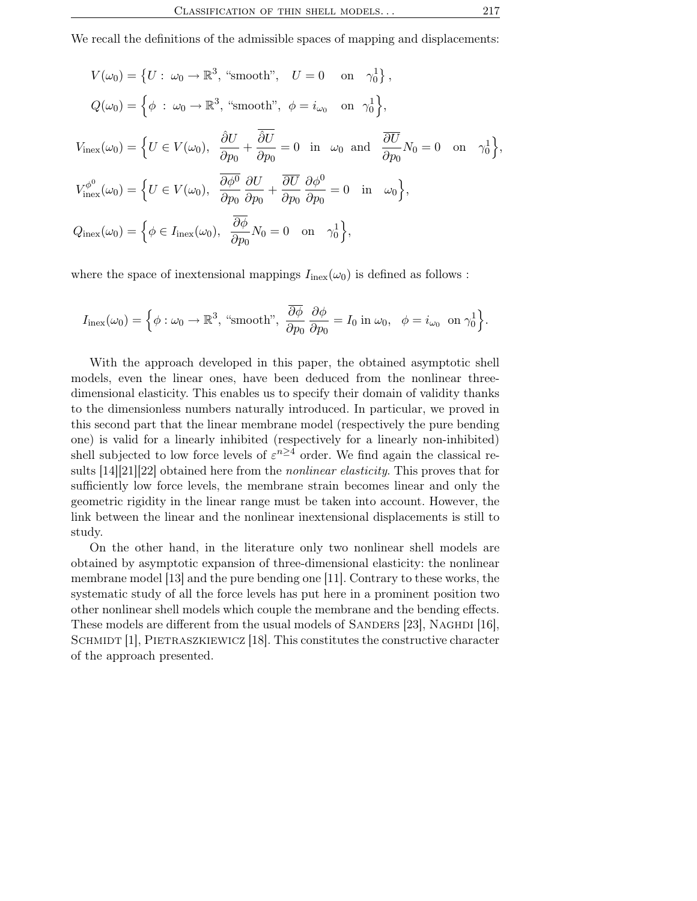We recall the definitions of the admissible spaces of mapping and displacements:

$$
V(\omega_0) = \left\{ U : \omega_0 \to \mathbb{R}^3, \text{ "smooth", } U = 0 \text{ on } \gamma_0^1 \right\},
$$
  
\n
$$
Q(\omega_0) = \left\{ \phi : \omega_0 \to \mathbb{R}^3, \text{ "smooth", } \phi = i_{\omega_0} \text{ on } \gamma_0^1 \right\},
$$
  
\n
$$
V_{\text{inex}}(\omega_0) = \left\{ U \in V(\omega_0), \frac{\partial U}{\partial p_0} + \frac{\overline{\partial} U}{\partial p_0} = 0 \text{ in } \omega_0 \text{ and } \frac{\overline{\partial} U}{\partial p_0} N_0 = 0 \text{ on } \gamma_0^1 \right\},
$$
  
\n
$$
V_{\text{inex}}^{\phi^0}(\omega_0) = \left\{ U \in V(\omega_0), \frac{\overline{\partial} \phi^0}{\partial p_0} \frac{\partial U}{\partial p_0} + \frac{\overline{\partial} U}{\partial p_0} \frac{\partial \phi^0}{\partial p_0} = 0 \text{ in } \omega_0 \right\},
$$
  
\n
$$
Q_{\text{inex}}(\omega_0) = \left\{ \phi \in I_{\text{inex}}(\omega_0), \frac{\overline{\partial} \phi}{\partial p_0} N_0 = 0 \text{ on } \gamma_0^1 \right\},
$$

where the space of inextensional mappings  $I_{\text{inex}}(\omega_0)$  is defined as follows :

$$
I_{\text{inex}}(\omega_0) = \left\{ \phi : \omega_0 \to \mathbb{R}^3, \text{ "smooth", } \frac{\overline{\partial \phi}}{\partial p_0} \frac{\partial \phi}{\partial p_0} = I_0 \text{ in } \omega_0, \phi = i_{\omega_0} \text{ on } \gamma_0^1 \right\}.
$$

With the approach developed in this paper, the obtained asymptotic shell models, even the linear ones, have been deduced from the nonlinear threedimensional elasticity. This enables us to specify their domain of validity thanks to the dimensionless numbers naturally introduced. In particular, we proved in this second part that the linear membrane model (respectively the pure bending one) is valid for a linearly inhibited (respectively for a linearly non-inhibited) shell subjected to low force levels of  $\varepsilon^{n\geq 4}$  order. We find again the classical results [14][21][22] obtained here from the nonlinear elasticity. This proves that for sufficiently low force levels, the membrane strain becomes linear and only the geometric rigidity in the linear range must be taken into account. However, the link between the linear and the nonlinear inextensional displacements is still to study.

On the other hand, in the literature only two nonlinear shell models are obtained by asymptotic expansion of three-dimensional elasticity: the nonlinear membrane model [13] and the pure bending one [11]. Contrary to these works, the systematic study of all the force levels has put here in a prominent position two other nonlinear shell models which couple the membrane and the bending effects. These models are different from the usual models of SANDERS [23], NAGHDI [16], SCHMIDT  $[1]$ , PIETRASZKIEWICZ  $[18]$ . This constitutes the constructive character of the approach presented.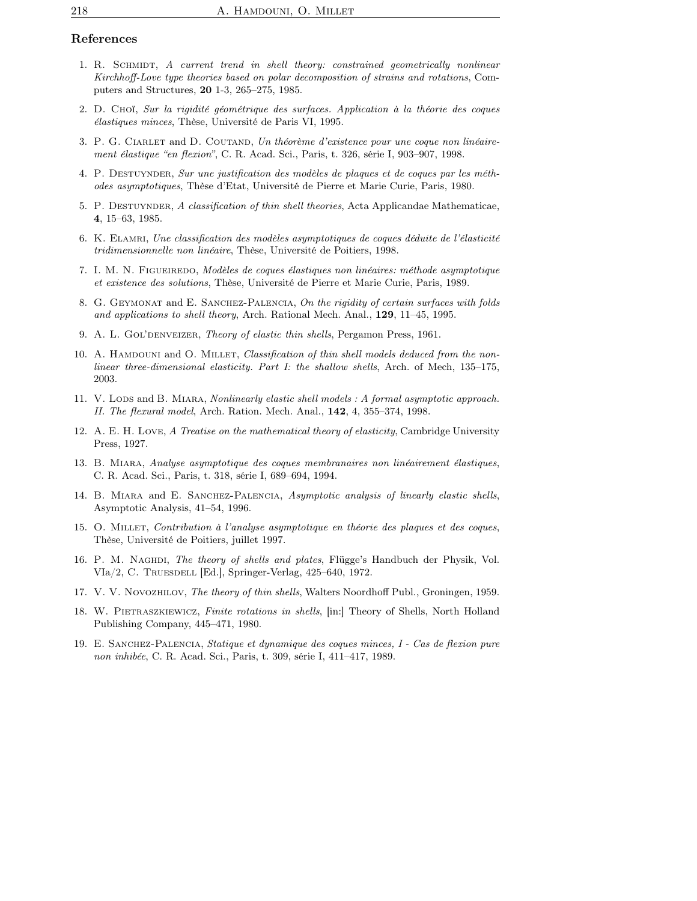## References

- 1. R. SCHMIDT, A current trend in shell theory: constrained geometrically nonlinear Kirchhoff-Love type theories based on polar decomposition of strains and rotations, Computers and Structures, 20 1-3, 265–275, 1985.
- 2. D. Choï, Sur la rigidité géométrique des surfaces. Application à la théorie des coques élastiques minces, Thèse, Université de Paris VI, 1995.
- 3. P. G. CIARLET and D. COUTAND, Un théorème d'existence pour une coque non linéairement élastique "en flexion", C. R. Acad. Sci., Paris, t. 326, série I, 903–907, 1998.
- 4. P. Destuynder, Sur une justification des modèles de plaques et de coques par les méthodes asymptotiques, Thèse d'Etat, Université de Pierre et Marie Curie, Paris, 1980.
- 5. P. Destuynder, A classification of thin shell theories, Acta Applicandae Mathematicae, 4, 15–63, 1985.
- 6. K. Elamri, Une classification des modèles asymptotiques de coques déduite de l'élasticité tridimensionnelle non linéaire, Thèse, Université de Poitiers, 1998.
- 7. I. M. N. Figueiredo, Modèles de coques élastiques non linéaires: méthode asymptotique et existence des solutions, Thèse, Université de Pierre et Marie Curie, Paris, 1989.
- 8. G. GEYMONAT and E. SANCHEZ-PALENCIA, On the rigidity of certain surfaces with folds and applications to shell theory, Arch. Rational Mech. Anal., 129, 11–45, 1995.
- 9. A. L. GOL'DENVEIZER, Theory of elastic thin shells, Pergamon Press, 1961.
- 10. A. HAMDOUNI and O. MILLET, Classification of thin shell models deduced from the nonlinear three-dimensional elasticity. Part I: the shallow shells, Arch. of Mech, 135–175, 2003.
- 11. V. LODS and B. MIARA, Nonlinearly elastic shell models : A formal asymptotic approach. II. The flexural model, Arch. Ration. Mech. Anal., 142, 4, 355–374, 1998.
- 12. A. E. H. Love, A Treatise on the mathematical theory of elasticity, Cambridge University Press, 1927.
- 13. B. Miara, Analyse asymptotique des coques membranaires non linéairement élastiques, C. R. Acad. Sci., Paris, t. 318, série I, 689–694, 1994.
- 14. B. MIARA and E. SANCHEZ-PALENCIA, Asymptotic analysis of linearly elastic shells, Asymptotic Analysis, 41–54, 1996.
- 15. O. Millet, Contribution à l'analyse asymptotique en théorie des plaques et des coques, Thèse, Université de Poitiers, juillet 1997.
- 16. P. M. NAGHDI, The theory of shells and plates, Flügge's Handbuch der Physik, Vol. VIa/2, C. TRUESDELL  $|Ed.|$ , Springer-Verlag, 425–640, 1972.
- 17. V. V. Novozhilov, The theory of thin shells, Walters Noordhoff Publ., Groningen, 1959.
- 18. W. PIETRASZKIEWICZ, Finite rotations in shells, [in:] Theory of Shells, North Holland Publishing Company, 445–471, 1980.
- 19. E. Sanchez-Palencia, Statique et dynamique des coques minces, I Cas de flexion pure non inhibée, C. R. Acad. Sci., Paris, t. 309, série I, 411–417, 1989.